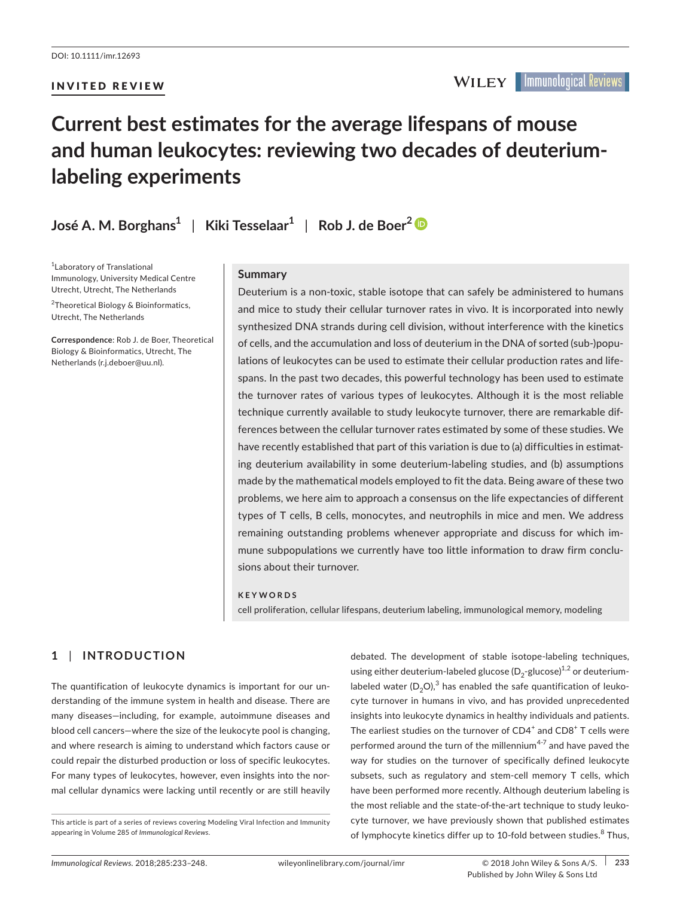INVITED REVIEW

# **Current best estimates for the average lifespans of mouse and human leukocytes: reviewing two decades of deuteriumlabeling experiments**

**José A. M. Borghans<sup>1</sup>** | **Kiki Tesselaar<sup>1</sup>** | **Rob J. de Boer[2](http://orcid.org/0000-0002-2130-691X )**

1 Laboratory of Translational Immunology, University Medical Centre Utrecht, Utrecht, The Netherlands

<sup>2</sup>Theoretical Biology & Bioinformatics, Utrecht, The Netherlands

**Correspondence**: Rob J. de Boer, Theoretical Biology & Bioinformatics, Utrecht, The Netherlands [\(r.j.deboer@uu.nl\).](mailto:(r.j.deboer@uu.nl).)

## **Summary**

Deuterium is a non-toxic, stable isotope that can safely be administered to humans and mice to study their cellular turnover rates in vivo. It is incorporated into newly synthesized DNA strands during cell division, without interference with the kinetics of cells, and the accumulation and loss of deuterium in the DNA of sorted (sub-)populations of leukocytes can be used to estimate their cellular production rates and life spans. In the past two decades, this powerful technology has been used to estimate the turnover rates of various types of leukocytes. Although it is the most reliable technique currently available to study leukocyte turnover, there are remarkable differences between the cellular turnover rates estimated by some of these studies. We have recently established that part of this variation is due to (a) difficulties in estimating deuterium availability in some deuterium-labeling studies, and (b) assumptions made by the mathematical models employed to fit the data. Being aware of these two problems, we here aim to approach a consensus on the life expectancies of different types of T cells, B cells, monocytes, and neutrophils in mice and men. We address remaining outstanding problems whenever appropriate and discuss for which immune subpopulations we currently have too little information to draw firm conclusions about their turnover.

#### **KEYWORDS**

cell proliferation, cellular lifespans, deuterium labeling, immunological memory, modeling

# **1** | **INTRODUCTION**

The quantification of leukocyte dynamics is important for our understanding of the immune system in health and disease. There are many diseases—including, for example, autoimmune diseases and blood cell cancers—where the size of the leukocyte pool is changing, and where research is aiming to understand which factors cause or could repair the disturbed production or loss of specific leukocytes. For many types of leukocytes, however, even insights into the normal cellular dynamics were lacking until recently or are still heavily

debated. The development of stable isotope-labeling techniques, using either deuterium-labeled glucose  $(D_2$ -glucose)<sup>1,2</sup> or deuteriumlabeled water  $(D_2O)^3$  has enabled the safe quantification of leukocyte turnover in humans in vivo, and has provided unprecedented insights into leukocyte dynamics in healthy individuals and patients. The earliest studies on the turnover of CD4<sup>+</sup> and CD8<sup>+</sup> T cells were performed around the turn of the millennium<sup>4-7</sup> and have paved the way for studies on the turnover of specifically defined leukocyte subsets, such as regulatory and stem-cell memory T cells, which have been performed more recently. Although deuterium labeling is the most reliable and the state-of-the-art technique to study leukocyte turnover, we have previously shown that published estimates of lymphocyte kinetics differ up to 10-fold between studies.<sup>8</sup> Thus,

This article is part of a series of reviews covering Modeling Viral Infection and Immunity appearing in Volume 285 of *Immunological Reviews*.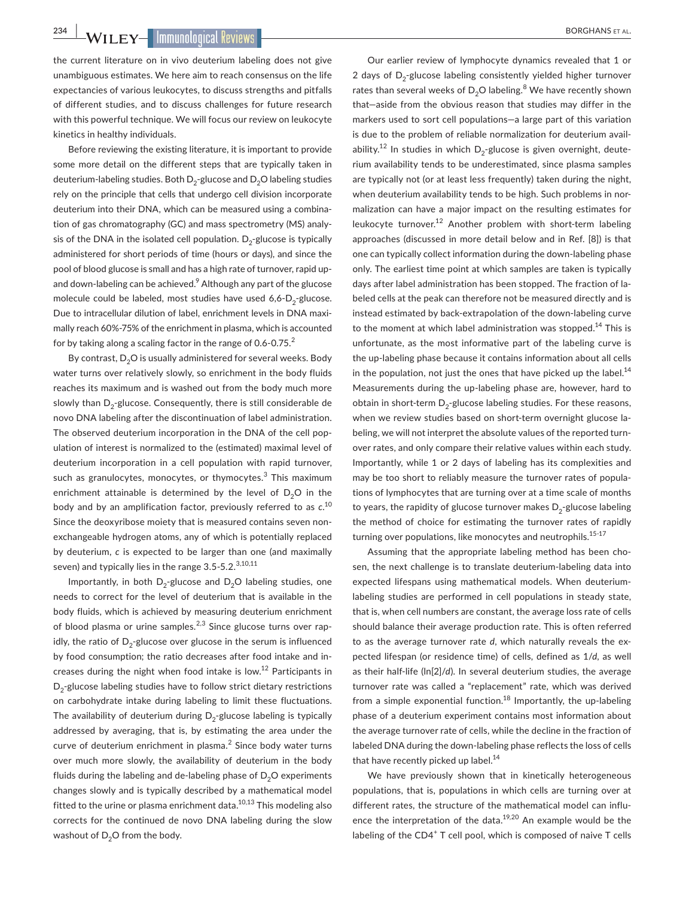**234 WILEY IMMUNOLOGICAL REVIEWS** 

the current literature on in vivo deuterium labeling does not give unambiguous estimates. We here aim to reach consensus on the life expectancies of various leukocytes, to discuss strengths and pitfalls of different studies, and to discuss challenges for future research with this powerful technique. We will focus our review on leukocyte kinetics in healthy individuals.

Before reviewing the existing literature, it is important to provide some more detail on the different steps that are typically taken in deuterium-labeling studies. Both  $D_2$ -glucose and  $D_2O$  labeling studies rely on the principle that cells that undergo cell division incorporate deuterium into their DNA, which can be measured using a combination of gas chromatography (GC) and mass spectrometry (MS) analysis of the DNA in the isolated cell population.  $D_2$ -glucose is typically administered for short periods of time (hours or days), and since the pool of blood glucose is small and has a high rate of turnover, rapid upand down-labeling can be achieved.<sup>9</sup> Although any part of the glucose molecule could be labeled, most studies have used  $6,6$ - $D_2$ -glucose. Due to intracellular dilution of label, enrichment levels in DNA maximally reach 60%-75% of the enrichment in plasma, which is accounted for by taking along a scaling factor in the range of  $0.6$ - $0.75$ .

By contrast,  $D_2O$  is usually administered for several weeks. Body water turns over relatively slowly, so enrichment in the body fluids reaches its maximum and is washed out from the body much more slowly than  $D_2$ -glucose. Consequently, there is still considerable de novo DNA labeling after the discontinuation of label administration. The observed deuterium incorporation in the DNA of the cell population of interest is normalized to the (estimated) maximal level of deuterium incorporation in a cell population with rapid turnover, such as granulocytes, monocytes, or thymocytes.<sup>3</sup> This maximum enrichment attainable is determined by the level of  $D_2O$  in the body and by an amplification factor, previously referred to as *c*. 10 Since the deoxyribose moiety that is measured contains seven nonexchangeable hydrogen atoms, any of which is potentially replaced by deuterium, *c* is expected to be larger than one (and maximally seven) and typically lies in the range 3.5-5.2.<sup>3,10,11</sup>

Importantly, in both  $D_2$ -glucose and  $D_2O$  labeling studies, one needs to correct for the level of deuterium that is available in the body fluids, which is achieved by measuring deuterium enrichment of blood plasma or urine samples. $^{2,3}$  Since glucose turns over rapidly, the ratio of  $D_2$ -glucose over glucose in the serum is influenced by food consumption; the ratio decreases after food intake and increases during the night when food intake is low.<sup>12</sup> Participants in  $D_2$ -glucose labeling studies have to follow strict dietary restrictions on carbohydrate intake during labeling to limit these fluctuations. The availability of deuterium during  $D_2$ -glucose labeling is typically addressed by averaging, that is, by estimating the area under the curve of deuterium enrichment in plasma. $<sup>2</sup>$  Since body water turns</sup> over much more slowly, the availability of deuterium in the body fluids during the labeling and de-labeling phase of  $D_2O$  experiments changes slowly and is typically described by a mathematical model fitted to the urine or plasma enrichment data. $10,13$  This modeling also corrects for the continued de novo DNA labeling during the slow washout of  $D_2O$  from the body.

Our earlier review of lymphocyte dynamics revealed that 1 or 2 days of  $D_2$ -glucose labeling consistently yielded higher turnover rates than several weeks of  $\mathsf{D}_2\mathsf{O}$  labeling. $^8$  We have recently shown that—aside from the obvious reason that studies may differ in the markers used to sort cell populations—a large part of this variation is due to the problem of reliable normalization for deuterium availability.<sup>12</sup> In studies in which  $D_2$ -glucose is given overnight, deuterium availability tends to be underestimated, since plasma samples are typically not (or at least less frequently) taken during the night, when deuterium availability tends to be high. Such problems in normalization can have a major impact on the resulting estimates for leukocyte turnover.<sup>12</sup> Another problem with short-term labeling approaches (discussed in more detail below and in Ref. [8]) is that one can typically collect information during the down-labeling phase only. The earliest time point at which samples are taken is typically days after label administration has been stopped. The fraction of labeled cells at the peak can therefore not be measured directly and is instead estimated by back-extrapolation of the down-labeling curve to the moment at which label administration was stopped.<sup>14</sup> This is unfortunate, as the most informative part of the labeling curve is the up-labeling phase because it contains information about all cells in the population, not just the ones that have picked up the label. $^{14}$ Measurements during the up-labeling phase are, however, hard to obtain in short-term  $D_2$ -glucose labeling studies. For these reasons, when we review studies based on short-term overnight glucose labeling, we will not interpret the absolute values of the reported turnover rates, and only compare their relative values within each study. Importantly, while 1 or 2 days of labeling has its complexities and may be too short to reliably measure the turnover rates of populations of lymphocytes that are turning over at a time scale of months to years, the rapidity of glucose turnover makes  $D_2$ -glucose labeling the method of choice for estimating the turnover rates of rapidly turning over populations, like monocytes and neutrophils.<sup>15-17</sup>

Assuming that the appropriate labeling method has been chosen, the next challenge is to translate deuterium-labeling data into expected lifespans using mathematical models. When deuteriumlabeling studies are performed in cell populations in steady state, that is, when cell numbers are constant, the average loss rate of cells should balance their average production rate. This is often referred to as the average turnover rate *d*, which naturally reveals the expected lifespan (or residence time) of cells, defined as 1/*d*, as well as their half-life (ln[2]/*d*). In several deuterium studies, the average turnover rate was called a "replacement" rate, which was derived from a simple exponential function. $18$  Importantly, the up-labeling phase of a deuterium experiment contains most information about the average turnover rate of cells, while the decline in the fraction of labeled DNA during the down-labeling phase reflects the loss of cells that have recently picked up label.<sup>14</sup>

We have previously shown that in kinetically heterogeneous populations, that is, populations in which cells are turning over at different rates, the structure of the mathematical model can influence the interpretation of the data.<sup>19,20</sup> An example would be the labeling of the CD4<sup>+</sup> T cell pool, which is composed of naive T cells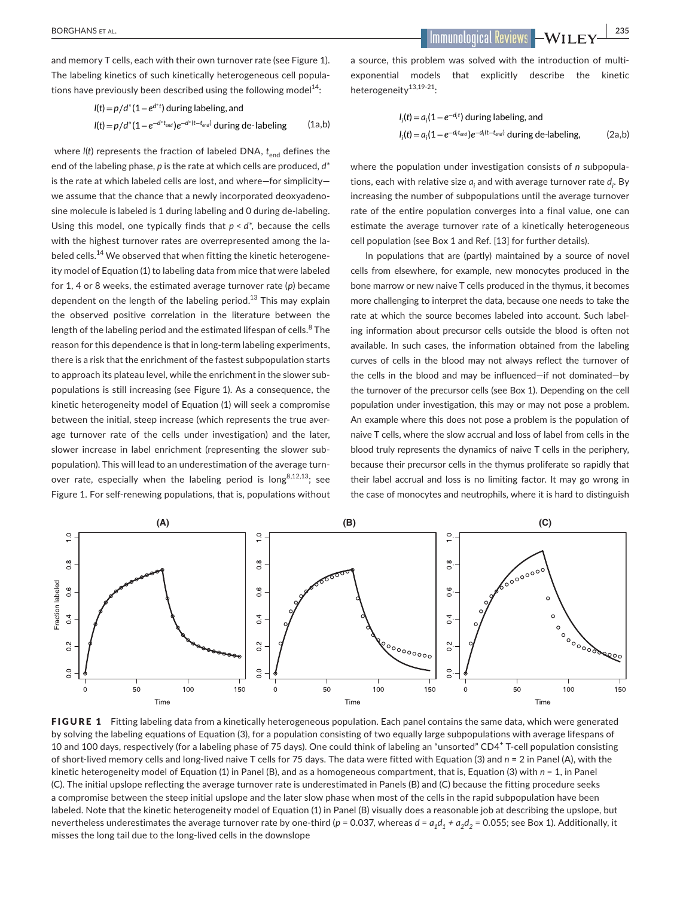and memory T cells, each with their own turnover rate (see Figure 1). The labeling kinetics of such kinetically heterogeneous cell populations have previously been described using the following model $^{14}$ :

$$
I(t) = p/d^*(1 - e^{d^*t})
$$
 during labeling, and  

$$
I(t) = p/d^*(1 - e^{-d^*t_{end}})e^{-d^*(t - t_{end})}
$$
 during de-labeling (1a,b)

where *l(t)* represents the fraction of labeled DNA,  $t_{end}$  defines the end of the labeling phase, *p* is the rate at which cells are produced, *d\** is the rate at which labeled cells are lost, and where—for simplicity we assume that the chance that a newly incorporated deoxyadenosine molecule is labeled is 1 during labeling and 0 during de-labeling. Using this model, one typically finds that *p* < *d\*,* because the cells with the highest turnover rates are overrepresented among the labeled cells.<sup>14</sup> We observed that when fitting the kinetic heterogeneity model of Equation (1) to labeling data from mice that were labeled for 1, 4 or 8 weeks, the estimated average turnover rate (*p*) became dependent on the length of the labeling period.<sup>13</sup> This may explain the observed positive correlation in the literature between the length of the labeling period and the estimated lifespan of cells.<sup>8</sup> The reason for this dependence is that in long-term labeling experiments, there is a risk that the enrichment of the fastest subpopulation starts to approach its plateau level, while the enrichment in the slower subpopulations is still increasing (see Figure 1). As a consequence, the kinetic heterogeneity model of Equation (1) will seek a compromise between the initial, steep increase (which represents the true average turnover rate of the cells under investigation) and the later, slower increase in label enrichment (representing the slower subpopulation). This will lead to an underestimation of the average turnover rate, especially when the labeling period is long<sup>8,12,13</sup>; see Figure 1. For self-renewing populations, that is, populations without

 **BORGHANS ET AL. 235** 

a source, this problem was solved with the introduction of multiexponential models that explicitly describe the kinetic heterogeneity13,19-21:

$$
l_i(t) = a_i(1 - e^{-d_i t})
$$
 during labeling, and  

$$
l_i(t) = a_i(1 - e^{-d_i t_{end}})e^{-d_i(t - t_{end})}
$$
 during de-labeling, (2a,b)

where the population under investigation consists of *n* subpopulations, each with relative size  $a_{\mathsf{j}}$  and with average turnover rate  $d_{\mathsf{j}}$ . By increasing the number of subpopulations until the average turnover rate of the entire population converges into a final value, one can estimate the average turnover rate of a kinetically heterogeneous cell population (see Box 1 and Ref. [13] for further details).

In populations that are (partly) maintained by a source of novel cells from elsewhere, for example, new monocytes produced in the bone marrow or new naive T cells produced in the thymus, it becomes more challenging to interpret the data, because one needs to take the rate at which the source becomes labeled into account. Such labeling information about precursor cells outside the blood is often not available. In such cases, the information obtained from the labeling curves of cells in the blood may not always reflect the turnover of the cells in the blood and may be influenced—if not dominated—by the turnover of the precursor cells (see Box 1). Depending on the cell population under investigation, this may or may not pose a problem. An example where this does not pose a problem is the population of naive T cells, where the slow accrual and loss of label from cells in the blood truly represents the dynamics of naive T cells in the periphery, because their precursor cells in the thymus proliferate so rapidly that their label accrual and loss is no limiting factor. It may go wrong in the case of monocytes and neutrophils, where it is hard to distinguish



FIGURE 1 Fitting labeling data from a kinetically heterogeneous population. Each panel contains the same data, which were generated by solving the labeling equations of Equation (3), for a population consisting of two equally large subpopulations with average lifespans of 10 and 100 days, respectively (for a labeling phase of 75 days). One could think of labeling an "unsorted" CD4<sup>+</sup> T-cell population consisting of short-lived memory cells and long-lived naive T cells for 75 days. The data were fitted with Equation (3) and *n* = 2 in Panel (A), with the kinetic heterogeneity model of Equation (1) in Panel (B), and as a homogeneous compartment, that is, Equation (3) with *n* = 1, in Panel (C). The initial upslope reflecting the average turnover rate is underestimated in Panels (B) and (C) because the fitting procedure seeks a compromise between the steep initial upslope and the later slow phase when most of the cells in the rapid subpopulation have been labeled. Note that the kinetic heterogeneity model of Equation (1) in Panel (B) visually does a reasonable job at describing the upslope, but nevertheless underestimates the average turnover rate by one-third ( $p = 0.037$ , whereas  $d = a_1 d_1 + a_2 d_2 = 0.055$ ; see Box 1). Additionally, it misses the long tail due to the long-lived cells in the downslope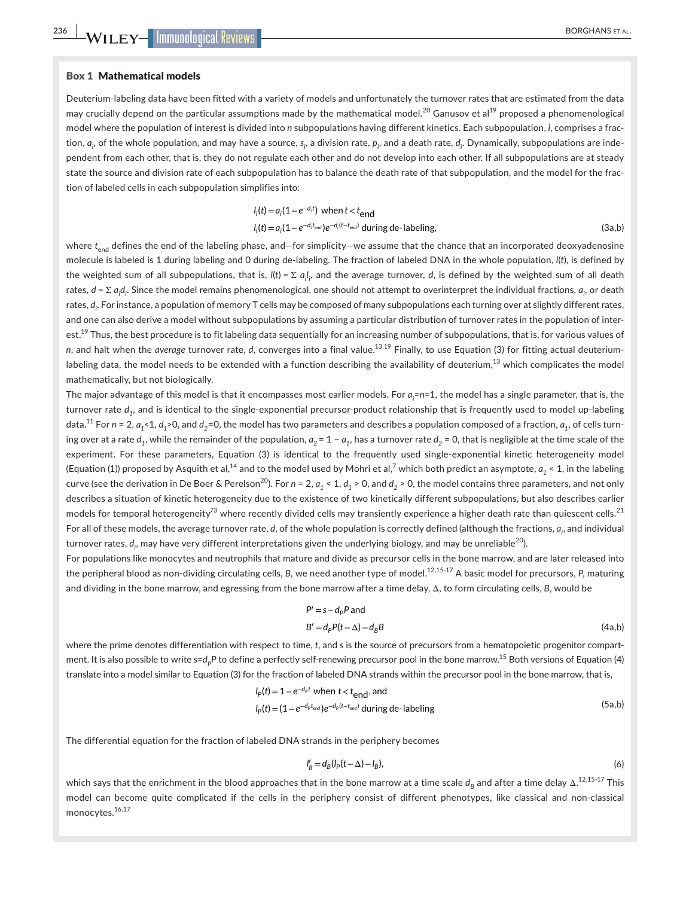(4a,b)

## Box 1 Mathematical models

Deuterium-labeling data have been fitted with a variety of models and unfortunately the turnover rates that are estimated from the data may crucially depend on the particular assumptions made by the mathematical model.<sup>20</sup> Ganusov et al<sup>19</sup> proposed a phenomenological model where the population of interest is divided into *n* subpopulations having different kinetics. Each subpopulation, *i*, comprises a fraction,  $a_p$  of the whole population, and may have a source,  $s_p$  a division rate,  $p_p$  and a death rate,  $d_p$ . Dynamically, subpopulations are independent from each other, that is, they do not regulate each other and do not develop into each other. If all subpopulations are at steady state the source and division rate of each subpopulation has to balance the death rate of that subpopulation, and the model for the fraction of labeled cells in each subpopulation simplifies into:

$$
l_i(t) = a_i(1 - e^{-d_i t}) \text{ when } t < t_{\text{end}}
$$
  
\n
$$
l_i(t) = a_i(1 - e^{-d_i t_{\text{end}}}) e^{-d_i (t - t_{\text{end}})}
$$
 during de-labeling, (3a,b)

where t<sub>end</sub> defines the end of the labeling phase, and—for simplicity—we assume that the chance that an incorporated deoxyadenosine molecule is labeled is 1 during labeling and 0 during de-labeling. The fraction of labeled DNA in the whole population, *l*(*t*)*,* is defined by the weighted sum of all subpopulations, that is, *l*(t) = Σ *a<sub>i</sub>l<sub>i</sub>,* and the average turnover, *d*, is defined by the weighted sum of all death rates, *d* = Σ *ai di* . Since the model remains phenomenological, one should not attempt to overinterpret the individual fractions, *ai* , or death rates, d<sub>i</sub>. For instance, a population of memory T cells may be composed of many subpopulations each turning over at slightly different rates, and one can also derive a model without subpopulations by assuming a particular distribution of turnover rates in the population of interest.<sup>19</sup> Thus, the best procedure is to fit labeling data sequentially for an increasing number of subpopulations, that is, for various values of *n*, and halt when the *average* turnover rate, *d*, converges into a final value.13,19 Finally, to use Equation (3) for fitting actual deuteriumlabeling data, the model needs to be extended with a function describing the availability of deuterium, $^{13}$  which complicates the model mathematically, but not biologically.

The major advantage of this model is that it encompasses most earlier models. For *ai* =*n*=1, the model has a single parameter, that is, the turnover rate d<sub>1</sub>, and is identical to the single-exponential precursor-product relationship that is frequently used to model up-labeling data.<sup>11</sup> For  $n = 2$ ,  $a_1 < 1$ ,  $d_1 > 0$ , and  $d_2 = 0$ , the model has two parameters and describes a population composed of a fraction,  $a_1$ , of cells turning over at a rate  $d_1$ , while the remainder of the population,  $a_2 = 1 - a_1$ , has a turnover rate  $d_2 = 0$ , that is negligible at the time scale of the experiment. For these parameters, Equation (3) is identical to the frequently used single-exponential kinetic heterogeneity model (Equation (1)) proposed by Asquith et al, $^{14}$  and to the model used by Mohri et al, $^7$  which both predict an asymptote,  $a^{}_1$  < 1, in the labeling curve (see the derivation in De Boer & Perelson<sup>20</sup>). For  $n = 2$ ,  $a_1 < 1$ ,  $d_1 > 0$ , and  $d_2 > 0$ , the model contains three parameters, and not only describes a situation of kinetic heterogeneity due to the existence of two kinetically different subpopulations, but also describes earlier models for temporal heterogeneity<sup>73</sup> where recently divided cells may transiently experience a higher death rate than quiescent cells.<sup>21</sup> For all of these models, the average turnover rate, *d*, of the whole population is correctly defined (although the fractions, *ai* , and individual turnover rates,  $d_p$  may have very different interpretations given the underlying biology, and may be unreliable<sup>20</sup>).

For populations like monocytes and neutrophils that mature and divide as precursor cells in the bone marrow, and are later released into the peripheral blood as non-dividing circulating cells, *B*, we need another type of model.<sup>12,15-17</sup> A basic model for precursors, *P*, maturing and dividing in the bone marrow, and egressing from the bone marrow after a time delay, Δ, to form circulating cells, *B*, would be

$$
P'=s-d_pP
$$
 and

$$
B'=d_P P(t-\Delta)-d_B B
$$

where the prime denotes differentiation with respect to time, *t*, and *s* is the source of precursors from a hematopoietic progenitor compartment. It is also possible to write *s=d<sub>P</sub>P* to define a perfectly self-renewing precursor pool in the bone marrow.<sup>15</sup> Both versions of Equation (4) translate into a model similar to Equation (3) for the fraction of labeled DNA strands within the precursor pool in the bone marrow, that is,

$$
I_p(t) = 1 - e^{-d_p t} \text{ when } t < t_{\text{end}}, \text{ and}
$$
\n
$$
I_p(t) = (1 - e^{-d_p t_{\text{end}}}) e^{-d_p (t - t_{\text{end}})} \text{ during de-labeling}
$$
\n
$$
(5a, b)
$$

The differential equation for the fraction of labeled DNA strands in the periphery becomes

$$
I'_B = d_B(I_P(t - \Delta) - I_B),\tag{6}
$$

which says that the enrichment in the blood approaches that in the bone marrow at a time scale  $d_{{\cal B}}$  and after a time delay  $\Delta^{.12,15\text{-}17}$  This model can become quite complicated if the cells in the periphery consist of different phenotypes, like classical and non-classical monocytes.16,17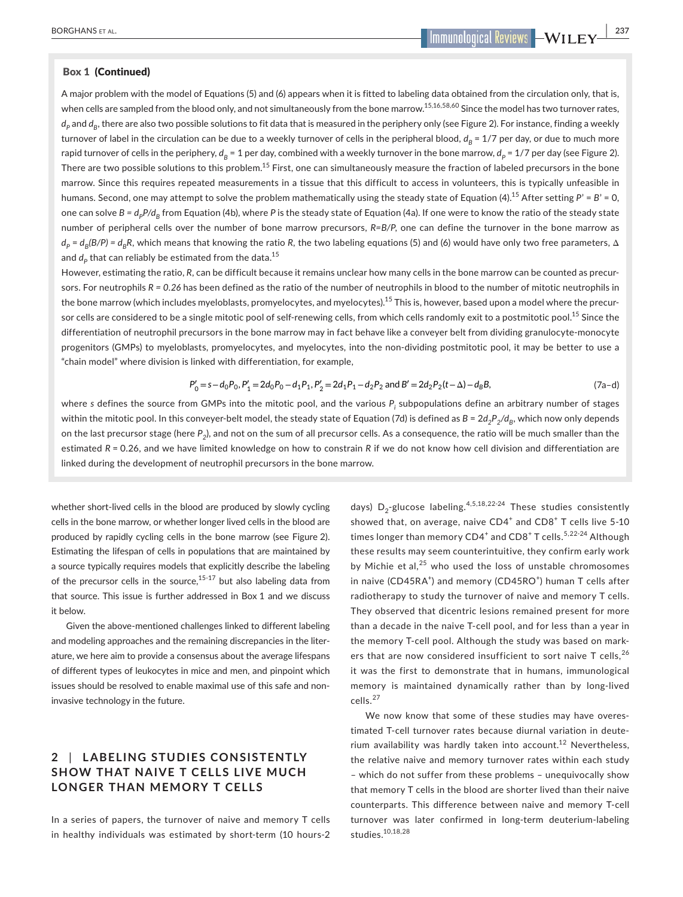A major problem with the model of Equations (5) and (6) appears when it is fitted to labeling data obtained from the circulation only, that is, when cells are sampled from the blood only, and not simultaneously from the bone marrow.<sup>15,16,58,60</sup> Since the model has two turnover rates,  $d_p$  and  $d_p$ , there are also two possible solutions to fit data that is measured in the periphery only (see Figure 2). For instance, finding a weekly turnover of label in the circulation can be due to a weekly turnover of cells in the peripheral blood,  $d_B = 1/7$  per day, or due to much more rapid turnover of cells in the periphery,  $d_R = 1$  per day, combined with a weekly turnover in the bone marrow,  $d_P = 1/7$  per day (see Figure 2). There are two possible solutions to this problem.<sup>15</sup> First, one can simultaneously measure the fraction of labeled precursors in the bone marrow. Since this requires repeated measurements in a tissue that this difficult to access in volunteers, this is typically unfeasible in humans. Second, one may attempt to solve the problem mathematically using the steady state of Equation (4).<sup>15</sup> After setting  $P' = B' = 0$ . one can solve *B* =  $d_pP/d_B$  from Equation (4b), where *P* is the steady state of Equation (4a). If one were to know the ratio of the steady state number of peripheral cells over the number of bone marrow precursors, *R=B/P*, one can define the turnover in the bone marrow as  $d_p = d_p(B/P) = d_pR$ , which means that knowing the ratio R, the two labeling equations (5) and (6) would have only two free parameters, Δ and  $d<sub>p</sub>$  that can reliably be estimated from the data.<sup>15</sup>

However, estimating the ratio, *R*, can be difficult because it remains unclear how many cells in the bone marrow can be counted as precursors. For neutrophils *R = 0.26* has been defined as the ratio of the number of neutrophils in blood to the number of mitotic neutrophils in the bone marrow (which includes myeloblasts, promyelocytes, and myelocytes).<sup>15</sup> This is, however, based upon a model where the precursor cells are considered to be a single mitotic pool of self-renewing cells, from which cells randomly exit to a postmitotic pool.<sup>15</sup> Since the differentiation of neutrophil precursors in the bone marrow may in fact behave like a conveyer belt from dividing granulocyte-monocyte progenitors (GMPs) to myeloblasts, promyelocytes, and myelocytes, into the non-dividing postmitotic pool, it may be better to use a "chain model" where division is linked with differentiation, for example,

$$
P'_0 = s - d_0 P_0, P'_1 = 2d_0 P_0 - d_1 P_1, P'_2 = 2d_1 P_1 - d_2 P_2 \text{ and } B' = 2d_2 P_2(t - \Delta) - d_B B,
$$
\n(7a-d)

where *s* defines the source from GMPs into the mitotic pool, and the various *Pi* subpopulations define an arbitrary number of stages within the mitotic pool. In this conveyer-belt model, the steady state of Equation (7d) is defined as  $B = 2d_2P_2/d_B$ , which now only depends on the last precursor stage (here P<sub>2</sub>), and not on the sum of all precursor cells. As a consequence, the ratio will be much smaller than the estimated *R* = 0.26, and we have limited knowledge on how to constrain *R* if we do not know how cell division and differentiation are linked during the development of neutrophil precursors in the bone marrow.

whether short-lived cells in the blood are produced by slowly cycling cells in the bone marrow, or whether longer lived cells in the blood are produced by rapidly cycling cells in the bone marrow (see Figure 2). Estimating the lifespan of cells in populations that are maintained by a source typically requires models that explicitly describe the labeling of the precursor cells in the source, $15-17$  but also labeling data from that source. This issue is further addressed in Box 1 and we discuss it below.

Given the above-mentioned challenges linked to different labeling and modeling approaches and the remaining discrepancies in the literature, we here aim to provide a consensus about the average lifespans of different types of leukocytes in mice and men, and pinpoint which issues should be resolved to enable maximal use of this safe and noninvasive technology in the future.

# **2** | **L ABELING STUDIES CONSISTENTLY SHOW THAT NAIVE T CELLS LIVE MUCH LONGER THAN MEMORY T CELLS**

In a series of papers, the turnover of naive and memory T cells in healthy individuals was estimated by short-term (10 hours-2 days)  $D_2$ -glucose labeling.<sup>4,5,18,22-24</sup> These studies consistently showed that, on average, naive  $CD4^+$  and  $CD8^+$  T cells live 5-10 times longer than memory CD4<sup>+</sup> and CD8<sup>+</sup> T cells.<sup>5,22-24</sup> Although these results may seem counterintuitive, they confirm early work by Michie et al, $^{25}$  who used the loss of unstable chromosomes in naive (CD45RA<sup>+</sup>) and memory (CD45RO<sup>+</sup>) human T cells after radiotherapy to study the turnover of naive and memory T cells. They observed that dicentric lesions remained present for more than a decade in the naive T-cell pool, and for less than a year in the memory T-cell pool. Although the study was based on markers that are now considered insufficient to sort naive T cells,  $26$ it was the first to demonstrate that in humans, immunological memory is maintained dynamically rather than by long-lived cells.<sup>27</sup>

We now know that some of these studies may have overestimated T-cell turnover rates because diurnal variation in deuterium availability was hardly taken into account.<sup>12</sup> Nevertheless, the relative naive and memory turnover rates within each study – which do not suffer from these problems – unequivocally show that memory T cells in the blood are shorter lived than their naive counterparts. This difference between naive and memory T-cell turnover was later confirmed in long-term deuterium-labeling studies.10,18,28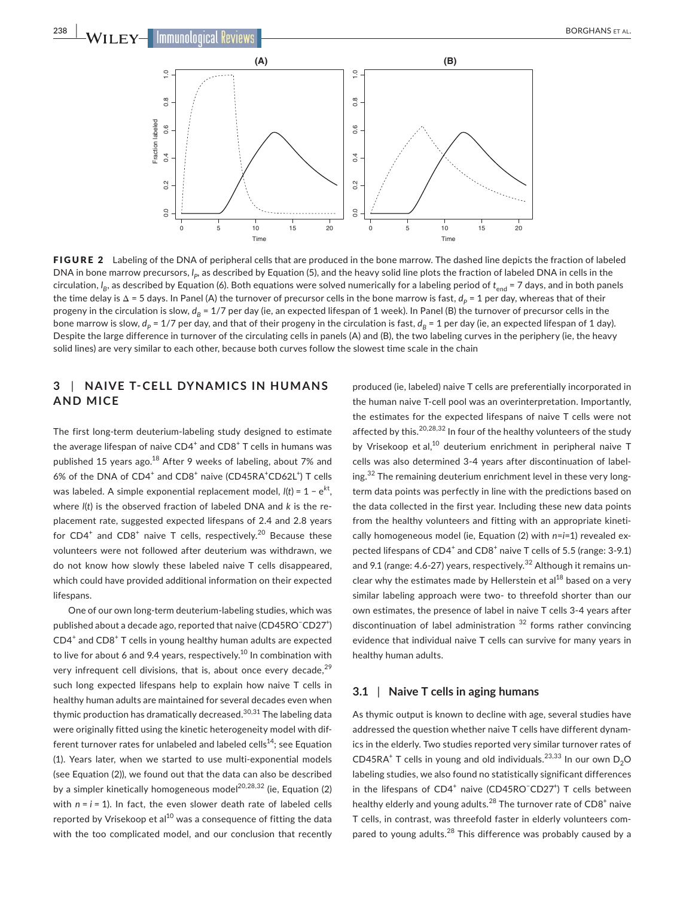

FIGURE 2 Labeling of the DNA of peripheral cells that are produced in the bone marrow. The dashed line depicts the fraction of labeled DNA in bone marrow precursors, *l<sub>p</sub>,* as described by Equation (5), and the heavy solid line plots the fraction of labeled DNA in cells in the circulation, I<sub>B</sub>, as described by Equation (6). Both equations were solved numerically for a labeling period of t<sub>end</sub> = 7 days, and in both panels the time delay is  $\Delta = 5$  days. In Panel (A) the turnover of precursor cells in the bone marrow is fast,  $d_p = 1$  per day, whereas that of their progeny in the circulation is slow,  $d_R = 1/7$  per day (ie, an expected lifespan of 1 week). In Panel (B) the turnover of precursor cells in the bone marrow is slow,  $d_p$  = 1/7 per day, and that of their progeny in the circulation is fast,  $d_B$  = 1 per day (ie, an expected lifespan of 1 day). Despite the large difference in turnover of the circulating cells in panels (A) and (B), the two labeling curves in the periphery (ie, the heavy solid lines) are very similar to each other, because both curves follow the slowest time scale in the chain

# **3** | **NAIVE T-CELL DYNAMIC S IN HUMANS AND MICE**

The first long-term deuterium-labeling study designed to estimate the average lifespan of naive  $CD4^+$  and  $CD8^+$  T cells in humans was published 15 years ago.<sup>18</sup> After 9 weeks of labeling, about 7% and 6% of the DNA of CD4<sup>+</sup> and CD8<sup>+</sup> naive (CD45RA<sup>+</sup>CD62L<sup>+</sup>) T cells was labeled. A simple exponential replacement model, *l*(*t*) = 1 − e*k*<sup>t</sup> , where *l*(*t*) is the observed fraction of labeled DNA and *k* is the replacement rate, suggested expected lifespans of 2.4 and 2.8 years for CD4<sup>+</sup> and CD8<sup>+</sup> naive T cells, respectively.<sup>20</sup> Because these volunteers were not followed after deuterium was withdrawn, we do not know how slowly these labeled naive T cells disappeared, which could have provided additional information on their expected lifespans.

One of our own long-term deuterium-labeling studies, which was published about a decade ago, reported that naive (CD45RO<sup>-</sup>CD27<sup>+</sup>) CD4<sup>+</sup> and CD8<sup>+</sup> T cells in young healthy human adults are expected to live for about 6 and 9.4 years, respectively.<sup>10</sup> In combination with very infrequent cell divisions, that is, about once every decade, $^{29}$ such long expected lifespans help to explain how naive T cells in healthy human adults are maintained for several decades even when thymic production has dramatically decreased.<sup>30,31</sup> The labeling data were originally fitted using the kinetic heterogeneity model with different turnover rates for unlabeled and labeled cells<sup>14</sup>; see Equation (1). Years later, when we started to use multi-exponential models (see Equation (2)), we found out that the data can also be described by a simpler kinetically homogeneous model<sup>20,28,32</sup> (ie, Equation  $(2)$ ) with  $n = i = 1$ ). In fact, the even slower death rate of labeled cells reported by Vrisekoop et al<sup>10</sup> was a consequence of fitting the data with the too complicated model, and our conclusion that recently

produced (ie, labeled) naive T cells are preferentially incorporated in the human naive T-cell pool was an overinterpretation. Importantly, the estimates for the expected lifespans of naive T cells were not affected by this.<sup>20,28,32</sup> In four of the healthy volunteers of the study by Vrisekoop et al,<sup>10</sup> deuterium enrichment in peripheral naive T cells was also determined 3-4 years after discontinuation of labeling.<sup>32</sup> The remaining deuterium enrichment level in these very longterm data points was perfectly in line with the predictions based on the data collected in the first year. Including these new data points from the healthy volunteers and fitting with an appropriate kinetically homogeneous model (ie, Equation (2) with *n*=*i*=1) revealed expected lifespans of CD4<sup>+</sup> and CD8<sup>+</sup> naive T cells of 5.5 (range: 3-9.1) and 9.1 (range:  $4.6$ -27) years, respectively.<sup>32</sup> Although it remains unclear why the estimates made by Hellerstein et  $a^{18}$  based on a very similar labeling approach were two- to threefold shorter than our own estimates, the presence of label in naive T cells 3-4 years after discontinuation of label administration  $32$  forms rather convincing evidence that individual naive T cells can survive for many years in healthy human adults.

## **3.1** | **Naive T cells in aging humans**

As thymic output is known to decline with age, several studies have addressed the question whether naive T cells have different dynamics in the elderly. Two studies reported very similar turnover rates of  $CD45RA<sup>+</sup>$  T cells in young and old individuals.<sup>23,33</sup> In our own  $D_2O$ labeling studies, we also found no statistically significant differences in the lifespans of CD4<sup>+</sup> naive (CD45RO<sup>-</sup>CD27<sup>+</sup>) T cells between healthy elderly and young adults. $^{28}$  The turnover rate of CD8 $^+$  naive T cells, in contrast, was threefold faster in elderly volunteers compared to young adults.<sup>28</sup> This difference was probably caused by a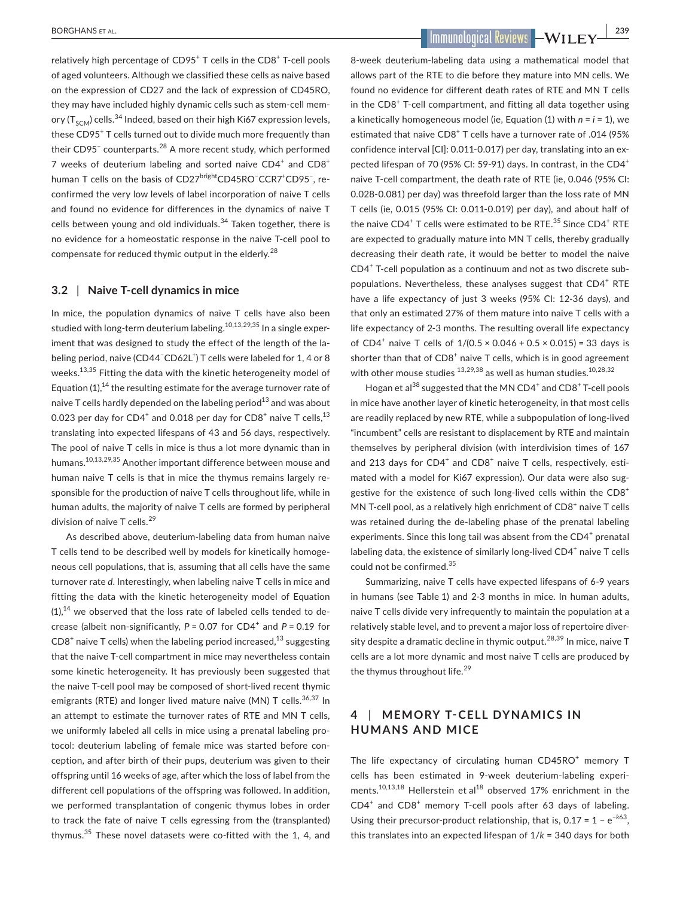relatively high percentage of  $CD95<sup>+</sup>$  T cells in the  $CD8<sup>+</sup>$  T-cell pools of aged volunteers. Although we classified these cells as naive based on the expression of CD27 and the lack of expression of CD45RO, they may have included highly dynamic cells such as stem-cell memory ( $T_{sCM}$ ) cells.<sup>34</sup> Indeed, based on their high Ki67 expression levels, these CD95<sup>+</sup> T cells turned out to divide much more frequently than their CD95<sup>−</sup> counterparts.<sup>28</sup> A more recent study, which performed 7 weeks of deuterium labeling and sorted naive  $CD4^+$  and  $CD8^+$ human T cells on the basis of CD27<sup>bright</sup>CD45RO<sup>−</sup>CCR7<sup>+</sup>CD95<sup>−</sup>, reconfirmed the very low levels of label incorporation of naive T cells and found no evidence for differences in the dynamics of naive T cells between young and old individuals. $34$  Taken together, there is no evidence for a homeostatic response in the naive T-cell pool to compensate for reduced thymic output in the elderly.<sup>28</sup>

## **3.2** | **Naive T-cell dynamics in mice**

In mice, the population dynamics of naive T cells have also been studied with long-term deuterium labeling.<sup>10,13,29,35</sup> In a single experiment that was designed to study the effect of the length of the labeling period, naive (CD44<sup>-</sup>CD62L<sup>+</sup>) T cells were labeled for 1, 4 or 8 weeks.<sup>13,35</sup> Fitting the data with the kinetic heterogeneity model of Equation (1),<sup>14</sup> the resulting estimate for the average turnover rate of naive T cells hardly depended on the labeling period $^{13}$  and was about 0.023 per day for CD4 $^{\mathrm{+}}$  and 0.018 per day for CD8 $^{\mathrm{+}}$  naive T cells, $^{13}$ translating into expected lifespans of 43 and 56 days, respectively. The pool of naive T cells in mice is thus a lot more dynamic than in humans.10,13,29,35 Another important difference between mouse and human naive T cells is that in mice the thymus remains largely responsible for the production of naive T cells throughout life, while in human adults, the majority of naive T cells are formed by peripheral division of naive T cells.<sup>29</sup>

As described above, deuterium-labeling data from human naive T cells tend to be described well by models for kinetically homogeneous cell populations, that is, assuming that all cells have the same turnover rate *d*. Interestingly, when labeling naive T cells in mice and fitting the data with the kinetic heterogeneity model of Equation  $(1)$ ,<sup>14</sup> we observed that the loss rate of labeled cells tended to decrease (albeit non-significantly,  $P = 0.07$  for  $CD4^+$  and  $P = 0.19$  for  $CD8<sup>+</sup>$  naive T cells) when the labeling period increased, $^{13}$  suggesting that the naive T-cell compartment in mice may nevertheless contain some kinetic heterogeneity. It has previously been suggested that the naive T-cell pool may be composed of short-lived recent thymic emigrants (RTE) and longer lived mature naive (MN) T cells.<sup>36,37</sup> In an attempt to estimate the turnover rates of RTE and MN T cells, we uniformly labeled all cells in mice using a prenatal labeling protocol: deuterium labeling of female mice was started before conception, and after birth of their pups, deuterium was given to their offspring until 16 weeks of age, after which the loss of label from the different cell populations of the offspring was followed. In addition, we performed transplantation of congenic thymus lobes in order to track the fate of naive T cells egressing from the (transplanted) thymus.35 These novel datasets were co-fitted with the 1, 4, and

 **BORGHANS ET AL. 239** 

8-week deuterium-labeling data using a mathematical model that allows part of the RTE to die before they mature into MN cells. We found no evidence for different death rates of RTE and MN T cells in the CD8<sup>+</sup> T-cell compartment, and fitting all data together using a kinetically homogeneous model (ie, Equation (1) with *n* = *i* = 1), we estimated that naive CD8<sup>+</sup> T cells have a turnover rate of .014 (95% confidence interval [CI]: 0.011-0.017) per day, translating into an expected lifespan of 70 (95% CI: 59-91) days. In contrast, in the CD4<sup>+</sup> naive T-cell compartment, the death rate of RTE (ie, 0.046 (95% CI: 0.028-0.081) per day) was threefold larger than the loss rate of MN T cells (ie, 0.015 (95% CI: 0.011-0.019) per day), and about half of the naive CD4<sup>+</sup> T cells were estimated to be RTE.<sup>35</sup> Since CD4<sup>+</sup> RTE are expected to gradually mature into MN T cells, thereby gradually decreasing their death rate, it would be better to model the naive CD4<sup>+</sup> T-cell population as a continuum and not as two discrete subpopulations. Nevertheless, these analyses suggest that CD4<sup>+</sup> RTE have a life expectancy of just 3 weeks (95% CI: 12-36 days), and that only an estimated 27% of them mature into naive T cells with a life expectancy of 2-3 months. The resulting overall life expectancy of CD4<sup>+</sup> naive T cells of  $1/(0.5 \times 0.046 + 0.5 \times 0.015) = 33$  days is shorter than that of CD8<sup>+</sup> naive T cells, which is in good agreement with other mouse studies  $^{13,29,38}$  as well as human studies.  $^{10,28,32}$ 

Hogan et al<sup>38</sup> suggested that the MN CD4<sup>+</sup> and CD8<sup>+</sup> T-cell pools in mice have another layer of kinetic heterogeneity, in that most cells are readily replaced by new RTE, while a subpopulation of long-lived "incumbent" cells are resistant to displacement by RTE and maintain themselves by peripheral division (with interdivision times of 167 and 213 days for  $CD4^+$  and  $CD8^+$  naive T cells, respectively, estimated with a model for Ki67 expression). Our data were also suggestive for the existence of such long-lived cells within the CD8<sup>+</sup> MN T-cell pool, as a relatively high enrichment of CD8<sup>+</sup> naive T cells was retained during the de-labeling phase of the prenatal labeling experiments. Since this long tail was absent from the CD4<sup>+</sup> prenatal labeling data, the existence of similarly long-lived CD4<sup>+</sup> naive T cells could not be confirmed.<sup>35</sup>

Summarizing, naive T cells have expected lifespans of 6-9 years in humans (see Table 1) and 2-3 months in mice. In human adults, naive T cells divide very infrequently to maintain the population at a relatively stable level, and to prevent a major loss of repertoire diversity despite a dramatic decline in thymic output.<sup>28,39</sup> In mice, naive T cells are a lot more dynamic and most naive T cells are produced by the thymus throughout life.<sup>29</sup>

# **4** | MEMORY T-CELL DYNAMICS IN **HUMANS AND MICE**

The life expectancy of circulating human CD45RO<sup>+</sup> memory T cells has been estimated in 9-week deuterium-labeling experiments.<sup>10,13,18</sup> Hellerstein et al<sup>18</sup> observed 17% enrichment in the CD4<sup>+</sup> and CD8<sup>+</sup> memory T-cell pools after 63 days of labeling. Using their precursor-product relationship, that is, 0.17 = 1 − e*−k*63, this translates into an expected lifespan of 1/*k* = 340 days for both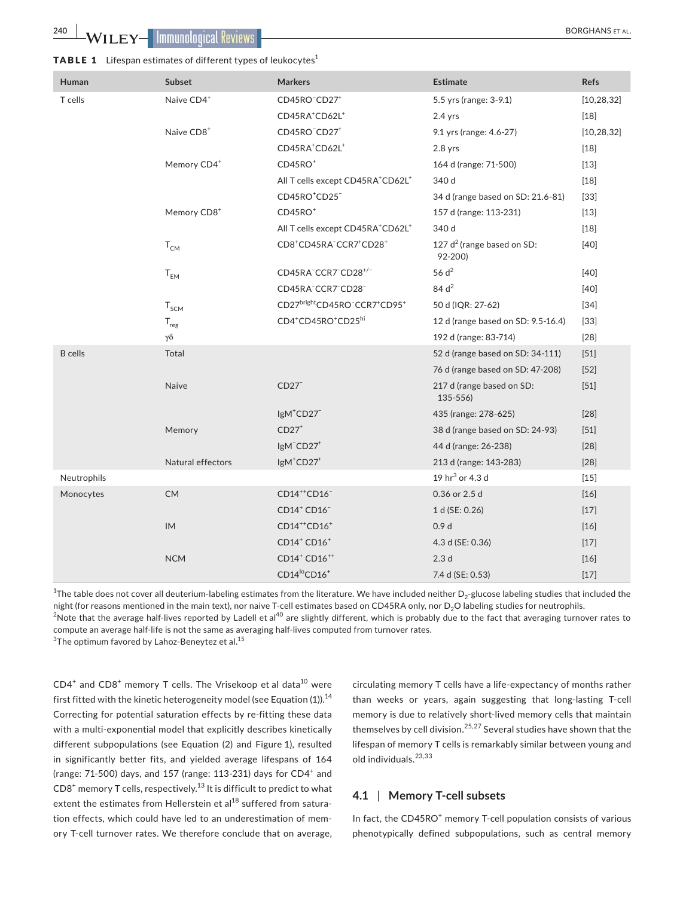| <code>TABLE 1 <math>\,</math> Lifespan</code> estimates of different types of leukocytes $^1$ |
|-----------------------------------------------------------------------------------------------|
|                                                                                               |

| Human          | Subset                    | <b>Markers</b>                                                           | <b>Estimate</b>                          | <b>Refs</b>  |
|----------------|---------------------------|--------------------------------------------------------------------------|------------------------------------------|--------------|
| T cells        | Naive CD4+                | CD45RO <sup>-</sup> CD27 <sup>+</sup>                                    | 5.5 yrs (range: 3-9.1)                   | [10, 28, 32] |
|                |                           | CD45RA <sup>+</sup> CD62L <sup>+</sup>                                   | $2.4$ yrs                                | $[18]$       |
|                | Naive CD8 <sup>+</sup>    | CD45RO <sup>-</sup> CD27 <sup>+</sup>                                    | 9.1 yrs (range: 4.6-27)                  | [10, 28, 32] |
|                |                           | CD45RA <sup>+</sup> CD62L <sup>+</sup>                                   | $2.8$ yrs                                | $[18]$       |
|                | Memory CD4+               | $CD45RO+$                                                                | 164 d (range: 71-500)                    | $[13]$       |
|                |                           | All T cells except CD45RA <sup>+</sup> CD62L <sup>+</sup>                | 340 d                                    | $[18]$       |
|                |                           | CD45RO <sup>+</sup> CD25 <sup>-</sup>                                    | 34 d (range based on SD: 21.6-81)        | $[33]$       |
|                | Memory CD8 <sup>+</sup>   | $CD45RO+$                                                                | 157 d (range: 113-231)                   | $[13]$       |
|                |                           | All T cells except CD45RA <sup>+</sup> CD62L <sup>+</sup>                | 340 d                                    | $[18]$       |
|                | $T_{CM}$                  | CD8 <sup>+</sup> CD45RA <sup>-</sup> CCR7 <sup>+</sup> CD28 <sup>+</sup> | 127 $d^2$ (range based on SD:<br>92-200) | $[40]$       |
|                | $T_{EM}$                  | CD45RA <sup>-</sup> CCR7 <sup>-</sup> CD28 <sup>+/-</sup>                | 56 $d2$                                  | $[40]$       |
|                |                           | CD45RA <sup>-</sup> CCR7 <sup>-</sup> CD28 <sup>-</sup>                  | 84 d <sup>2</sup>                        | $[40]$       |
|                | $T_{SCM}$                 | CD27brightCD45RO <sup>-</sup> CCR7 <sup>+</sup> CD95 <sup>+</sup>        | 50 d (IQR: 27-62)                        | $[34]$       |
|                | $\mathsf{T}_{\text{reg}}$ | CD4 <sup>+</sup> CD45RO <sup>+</sup> CD25hi                              | 12 d (range based on SD: 9.5-16.4)       | $[33]$       |
|                | $\gamma\delta$            |                                                                          | 192 d (range: 83-714)                    | $[28]$       |
| <b>B</b> cells | Total                     |                                                                          | 52 d (range based on SD: 34-111)         | $[51]$       |
|                |                           |                                                                          | 76 d (range based on SD: 47-208)         | $[52]$       |
|                | Naive                     | CD27                                                                     | 217 d (range based on SD:<br>$135 - 556$ | $[51]$       |
|                |                           | IgM <sup>+</sup> CD27 <sup>-</sup>                                       | 435 (range: 278-625)                     | $[28]$       |
|                | Memory                    | $CD27+$                                                                  | 38 d (range based on SD: 24-93)          | $[51]$       |
|                |                           | IgM <sup>-</sup> CD27 <sup>+</sup>                                       | 44 d (range: 26-238)                     | $[28]$       |
|                | Natural effectors         | $lgM+CD27+$                                                              | 213 d (range: 143-283)                   | $[28]$       |
| Neutrophils    |                           |                                                                          | 19 $hr^3$ or 4.3 d                       | $[15]$       |
| Monocytes      | <b>CM</b>                 | CD14 <sup>++</sup> CD16 <sup>-</sup>                                     | 0.36 or 2.5 d                            | $[16]$       |
|                |                           | CD14 <sup>+</sup> CD16 <sup>-</sup>                                      | 1 d (SE: 0.26)                           | $[17]$       |
|                | IM                        | $CD14^{++}CD16^+$                                                        | 0.9 <sub>d</sub>                         | $[16]$       |
|                |                           | $CD14^+$ CD $16^+$                                                       | 4.3 d (SE: 0.36)                         | $[17]$       |
|                | <b>NCM</b>                | CD14 <sup>+</sup> CD16 <sup>++</sup>                                     | 2.3 <sub>d</sub>                         | $[16]$       |
|                |                           | CD14 <sup>lo</sup> CD16 <sup>+</sup>                                     | 7.4 d (SE: 0.53)                         | $[17]$       |

 $^{\rm 1}$ The table does not cover all deuterium-labeling estimates from the literature. We have included neither D $_2$ -glucose labeling studies that included the night (for reasons mentioned in the main text), nor naive T-cell estimates based on CD45RA only, nor D<sub>2</sub>O labeling studies for neutrophils.

 $<sup>2</sup>$ Note that the average half-lives reported by Ladell et al<sup>40</sup> are slightly different, which is probably due to the fact that averaging turnover rates to</sup> compute an average half-life is not the same as averaging half-lives computed from turnover rates.

 $^3$ The optimum favored by Lahoz-Beneytez et al. $^{15}$ 

 $CD4^+$  and  $CD8^+$  memory T cells. The Vrisekoop et al data<sup>10</sup> were first fitted with the kinetic heterogeneity model (see Equation  $(1)$ ).<sup>14</sup> Correcting for potential saturation effects by re-fitting these data with a multi-exponential model that explicitly describes kinetically different subpopulations (see Equation (2) and Figure 1), resulted in significantly better fits, and yielded average lifespans of 164 (range: 71-500) days, and 157 (range: 113-231) days for  $CD4^+$  and  $CD8<sup>+</sup>$  memory T cells, respectively.<sup>13</sup> It is difficult to predict to what extent the estimates from Hellerstein et al<sup>18</sup> suffered from saturation effects, which could have led to an underestimation of memory T-cell turnover rates. We therefore conclude that on average,

circulating memory T cells have a life-expectancy of months rather than weeks or years, again suggesting that long-lasting T-cell memory is due to relatively short-lived memory cells that maintain themselves by cell division.<sup>25,27</sup> Several studies have shown that the lifespan of memory T cells is remarkably similar between young and old individuals.<sup>23,33</sup>

## **4.1** | **Memory T-cell subsets**

In fact, the CD45RO<sup>+</sup> memory T-cell population consists of various phenotypically defined subpopulations, such as central memory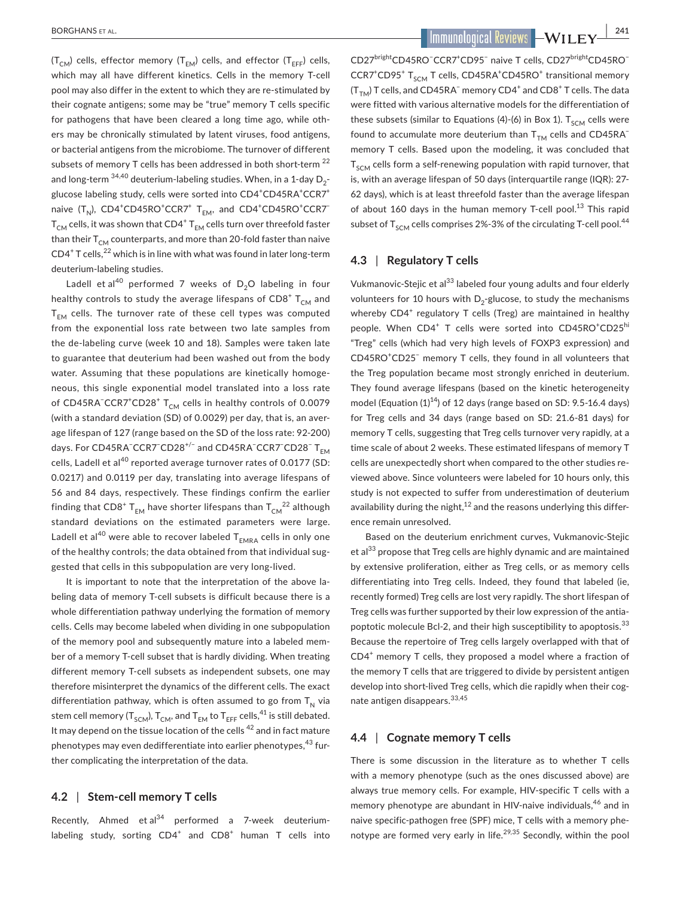$(T<sub>CM</sub>)$  cells, effector memory  $(T<sub>FM</sub>)$  cells, and effector  $(T<sub>FFF</sub>)$  cells, which may all have different kinetics. Cells in the memory T-cell pool may also differ in the extent to which they are re-stimulated by their cognate antigens; some may be "true" memory T cells specific for pathogens that have been cleared a long time ago, while others may be chronically stimulated by latent viruses, food antigens, or bacterial antigens from the microbiome. The turnover of different subsets of memory T cells has been addressed in both short-term<sup>22</sup> and long-term  $34,40$  deuterium-labeling studies. When, in a 1-day  $D_2$ glucose labeling study, cells were sorted into CD4<sup>+</sup>CD45RA<sup>+</sup>CCR7<sup>+</sup> naive (T<sub>N</sub>), CD4<sup>+</sup>CD45RO<sup>+</sup>CCR7<sup>+</sup> T<sub>EM</sub>, and CD4<sup>+</sup>CD45RO<sup>+</sup>CCR7<sup>-</sup>  ${\sf T}_{\mathsf{CM}}$  cells, it was shown that CD4 $^+$  T<sub>EM</sub> cells turn over threefold faster than their  $T_{CM}$  counterparts, and more than 20-fold faster than naive  $CD4^+$  T cells,  $^{22}$  which is in line with what was found in later long-term deuterium-labeling studies.

Ladell et al<sup>40</sup> performed 7 weeks of  $D_2O$  labeling in four healthy controls to study the average lifespans of  $\mathsf{CD8}^+$   $\mathsf{T}_{\mathsf{CM}}$  and  $T_{EM}$  cells. The turnover rate of these cell types was computed from the exponential loss rate between two late samples from the de-labeling curve (week 10 and 18). Samples were taken late to guarantee that deuterium had been washed out from the body water. Assuming that these populations are kinetically homogeneous, this single exponential model translated into a loss rate of CD45RA<sup>−</sup>CCR7<sup>+</sup>CD28<sup>+</sup> T<sub>CM</sub> cells in healthy controls of 0.0079 (with a standard deviation (SD) of 0.0029) per day, that is, an average lifespan of 127 (range based on the SD of the loss rate: 92-200) days. For CD45RA<sup>−</sup>CCR7<sup>−</sup>CD28<sup>+/−</sup> and CD45RA<sup>−</sup>CCR7<sup>−</sup>CD28<sup>−</sup> T<sub>EM</sub> cells, Ladell et al<sup>40</sup> reported average turnover rates of 0.0177 (SD: 0.0217) and 0.0119 per day, translating into average lifespans of 56 and 84 days, respectively. These findings confirm the earlier finding that CD8 $^{\rm +}$  T<sub>EM</sub> have shorter lifespans than T<sub>CM</sub><sup>22</sup> although standard deviations on the estimated parameters were large. Ladell et al<sup>40</sup> were able to recover labeled  $T_{EMRA}$  cells in only one of the healthy controls; the data obtained from that individual suggested that cells in this subpopulation are very long-lived.

It is important to note that the interpretation of the above labeling data of memory T-cell subsets is difficult because there is a whole differentiation pathway underlying the formation of memory cells. Cells may become labeled when dividing in one subpopulation of the memory pool and subsequently mature into a labeled member of a memory T-cell subset that is hardly dividing. When treating different memory T-cell subsets as independent subsets, one may therefore misinterpret the dynamics of the different cells. The exact differentiation pathway, which is often assumed to go from  $T_N$  via stem cell memory ( $T_{SCM}$ ),  $T_{CM}$ , and  $T_{FM}$  to  $T_{FFF}$  cells,<sup>41</sup> is still debated. It may depend on the tissue location of the cells <sup>42</sup> and in fact mature phenotypes may even dedifferentiate into earlier phenotypes,<sup>43</sup> further complicating the interpretation of the data.

## **4.2** | **Stem-cell memory T cells**

Recently, Ahmed et  $a^{34}$  performed a 7-week deuteriumlabeling study, sorting  $CD4^+$  and  $CD8^+$  human T cells into

 **BORGHANS ET AL. 241** 

CD27<sup>bright</sup>CD45RO<sup>−</sup>CCR7<sup>+</sup>CD95<sup>−</sup> naive T cells, CD27<sup>bright</sup>CD45RO<sup>−</sup>  $CCR7$ <sup>+</sup>CD95<sup>+</sup> T<sub>SCM</sub> T cells, CD45RA<sup>+</sup>CD45RO<sup>+</sup> transitional memory  $(\mathsf{T}_{\mathsf{TM}})$  T cells, and CD45RA ${}^-$  memory CD4 ${}^+$  and CD8 ${}^+$  T cells. The data were fitted with various alternative models for the differentiation of these subsets (similar to Equations (4)-(6) in Box 1).  $T_{SCM}$  cells were found to accumulate more deuterium than  $T_{TM}$  cells and CD45RA<sup>-</sup> memory T cells. Based upon the modeling, it was concluded that  $T<sub>SCM</sub>$  cells form a self-renewing population with rapid turnover, that is, with an average lifespan of 50 days (interquartile range (IQR): 27- 62 days), which is at least threefold faster than the average lifespan of about 160 days in the human memory T-cell pool.<sup>13</sup> This rapid subset of  $T_{SCM}$  cells comprises 2%-3% of the circulating T-cell pool.<sup>44</sup>

## **4.3** | **Regulatory T cells**

Vukmanovic-Stejic et al<sup>33</sup> labeled four young adults and four elderly volunteers for 10 hours with  $D_2$ -glucose, to study the mechanisms whereby CD4<sup>+</sup> regulatory T cells (Treg) are maintained in healthy people. When CD4<sup>+</sup> T cells were sorted into CD45RO<sup>+</sup>CD25<sup>hi</sup> "Treg" cells (which had very high levels of FOXP3 expression) and CD45RO<sup>+</sup>CD25<sup>-</sup> memory T cells, they found in all volunteers that the Treg population became most strongly enriched in deuterium. They found average lifespans (based on the kinetic heterogeneity model (Equation  $(1)^{14}$ ) of 12 days (range based on SD: 9.5-16.4 days) for Treg cells and 34 days (range based on SD: 21.6-81 days) for memory T cells, suggesting that Treg cells turnover very rapidly, at a time scale of about 2 weeks. These estimated lifespans of memory T cells are unexpectedly short when compared to the other studies reviewed above. Since volunteers were labeled for 10 hours only, this study is not expected to suffer from underestimation of deuterium availability during the night, $12$  and the reasons underlying this difference remain unresolved.

Based on the deuterium enrichment curves, Vukmanovic-Stejic et al<sup>33</sup> propose that Treg cells are highly dynamic and are maintained by extensive proliferation, either as Treg cells, or as memory cells differentiating into Treg cells. Indeed, they found that labeled (ie, recently formed) Treg cells are lost very rapidly. The short lifespan of Treg cells was further supported by their low expression of the antiapoptotic molecule Bcl-2, and their high susceptibility to apoptosis.<sup>33</sup> Because the repertoire of Treg cells largely overlapped with that of CD4<sup>+</sup> memory T cells, they proposed a model where a fraction of the memory T cells that are triggered to divide by persistent antigen develop into short-lived Treg cells, which die rapidly when their cognate antigen disappears.33,45

## **4.4** | **Cognate memory T cells**

There is some discussion in the literature as to whether T cells with a memory phenotype (such as the ones discussed above) are always true memory cells. For example, HIV-specific T cells with a memory phenotype are abundant in HIV-naive individuals,<sup>46</sup> and in naive specific-pathogen free (SPF) mice, T cells with a memory phenotype are formed very early in life.<sup>29,35</sup> Secondly, within the pool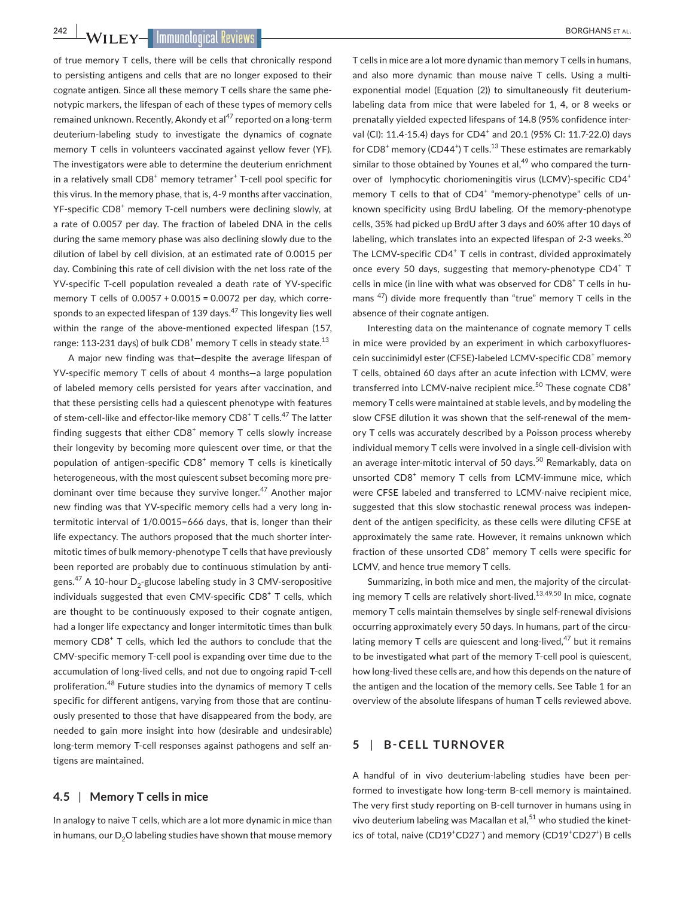**242 WILEY-IMMUNOLOGICAL REVIEWS** 

of true memory T cells, there will be cells that chronically respond to persisting antigens and cells that are no longer exposed to their cognate antigen. Since all these memory T cells share the same phenotypic markers, the lifespan of each of these types of memory cells remained unknown. Recently, Akondy et al<sup>47</sup> reported on a long-term deuterium-labeling study to investigate the dynamics of cognate memory T cells in volunteers vaccinated against yellow fever (YF). The investigators were able to determine the deuterium enrichment in a relatively small CD8<sup>+</sup> memory tetramer<sup>+</sup> T-cell pool specific for this virus. In the memory phase, that is, 4-9 months after vaccination, YF-specific CD8<sup>+</sup> memory T-cell numbers were declining slowly, at a rate of 0.0057 per day. The fraction of labeled DNA in the cells during the same memory phase was also declining slowly due to the dilution of label by cell division, at an estimated rate of 0.0015 per day. Combining this rate of cell division with the net loss rate of the YV-specific T-cell population revealed a death rate of YV-specific memory T cells of 0.0057 + 0.0015 = 0.0072 per day, which corresponds to an expected lifespan of 139 days.<sup>47</sup> This longevity lies well within the range of the above-mentioned expected lifespan (157, range: 113-231 days) of bulk CD8 $^{\mathrm{+}}$  memory T cells in steady state. $^{13}$ 

A major new finding was that—despite the average lifespan of YV-specific memory T cells of about 4 months—a large population of labeled memory cells persisted for years after vaccination, and that these persisting cells had a quiescent phenotype with features of stem-cell-like and effector-like memory CD8<sup>+</sup> T cells.<sup>47</sup> The latter finding suggests that either  $CDB<sup>+</sup>$  memory T cells slowly increase their longevity by becoming more quiescent over time, or that the population of antigen-specific  $CDB<sup>+</sup>$  memory T cells is kinetically heterogeneous, with the most quiescent subset becoming more predominant over time because they survive longer.<sup>47</sup> Another major new finding was that YV-specific memory cells had a very long intermitotic interval of 1/0.0015=666 days, that is, longer than their life expectancy. The authors proposed that the much shorter intermitotic times of bulk memory-phenotype T cells that have previously been reported are probably due to continuous stimulation by antigens.<sup>47</sup> A 10-hour D<sub>2</sub>-glucose labeling study in 3 CMV-seropositive individuals suggested that even CMV-specific CD8<sup>+</sup> T cells, which are thought to be continuously exposed to their cognate antigen, had a longer life expectancy and longer intermitotic times than bulk memory CD8<sup>+</sup> T cells, which led the authors to conclude that the CMV-specific memory T-cell pool is expanding over time due to the accumulation of long-lived cells, and not due to ongoing rapid T-cell proliferation.48 Future studies into the dynamics of memory T cells specific for different antigens, varying from those that are continuously presented to those that have disappeared from the body, are needed to gain more insight into how (desirable and undesirable) long-term memory T-cell responses against pathogens and self antigens are maintained.

## **4.5** | **Memory T cells in mice**

In analogy to naive T cells, which are a lot more dynamic in mice than in humans, our  $D_2O$  labeling studies have shown that mouse memory

T cells in mice are a lot more dynamic than memory T cells in humans, and also more dynamic than mouse naive T cells. Using a multiexponential model (Equation (2)) to simultaneously fit deuteriumlabeling data from mice that were labeled for 1, 4, or 8 weeks or prenatally yielded expected lifespans of 14.8 (95% confidence interval (CI): 11.4-15.4) days for CD4<sup>+</sup> and 20.1 (95% CI: 11.7-22.0) days for  $CDB^+$  memory ( $CD44^+$ ) T cells.<sup>13</sup> These estimates are remarkably similar to those obtained by Younes et al. $49$  who compared the turnover of lymphocytic choriomeningitis virus (LCMV)-specific CD4<sup>+</sup> memory T cells to that of CD4<sup>+</sup> "memory-phenotype" cells of unknown specificity using BrdU labeling. Of the memory-phenotype cells, 35% had picked up BrdU after 3 days and 60% after 10 days of labeling, which translates into an expected lifespan of 2-3 weeks. $^{20}$ The LCMV-specific CD4<sup>+</sup> T cells in contrast, divided approximately once every 50 days, suggesting that memory-phenotype CD4+ T cells in mice (in line with what was observed for CD8<sup>+</sup> T cells in humans  $47$ ) divide more frequently than "true" memory T cells in the absence of their cognate antigen.

Interesting data on the maintenance of cognate memory T cells in mice were provided by an experiment in which carboxyfluorescein succinimidyl ester (CFSE)-labeled LCMV-specific CD8<sup>+</sup> memory T cells, obtained 60 days after an acute infection with LCMV, were transferred into LCMV-naive recipient mice. $50$  These cognate CD8<sup>+</sup> memory T cells were maintained at stable levels, and by modeling the slow CFSE dilution it was shown that the self-renewal of the memory T cells was accurately described by a Poisson process whereby individual memory T cells were involved in a single cell-division with an average inter-mitotic interval of 50 days.<sup>50</sup> Remarkably, data on unsorted CD8<sup>+</sup> memory T cells from LCMV-immune mice, which were CFSE labeled and transferred to LCMV-naive recipient mice, suggested that this slow stochastic renewal process was independent of the antigen specificity, as these cells were diluting CFSE at approximately the same rate. However, it remains unknown which fraction of these unsorted CD8<sup>+</sup> memory T cells were specific for LCMV, and hence true memory T cells.

Summarizing, in both mice and men, the majority of the circulating memory T cells are relatively short-lived. $13,49,50$  In mice, cognate memory T cells maintain themselves by single self-renewal divisions occurring approximately every 50 days. In humans, part of the circulating memory T cells are quiescent and long-lived, $47$  but it remains to be investigated what part of the memory T-cell pool is quiescent, how long-lived these cells are, and how this depends on the nature of the antigen and the location of the memory cells. See Table 1 for an overview of the absolute lifespans of human T cells reviewed above.

## **5** | **B-CELL TURNOVER**

A handful of in vivo deuterium-labeling studies have been performed to investigate how long-term B-cell memory is maintained. The very first study reporting on B-cell turnover in humans using in vivo deuterium labeling was Macallan et al, $51$  who studied the kinetics of total, naive (CD19<sup>+</sup>CD27) and memory (CD19<sup>+</sup>CD27<sup>+</sup>) B cells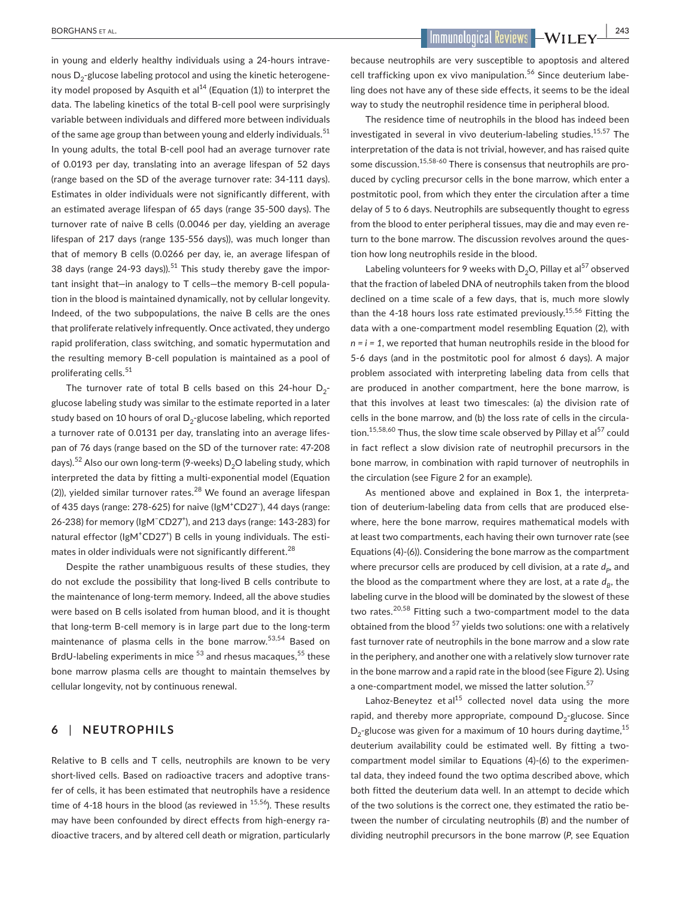in young and elderly healthy individuals using a 24-hours intravenous D<sub>2</sub>-glucose labeling protocol and using the kinetic heterogeneity model proposed by Asquith et al<sup>14</sup> (Equation (1)) to interpret the data. The labeling kinetics of the total B-cell pool were surprisingly variable between individuals and differed more between individuals of the same age group than between young and elderly individuals.<sup>51</sup> In young adults, the total B-cell pool had an average turnover rate of 0.0193 per day, translating into an average lifespan of 52 days (range based on the SD of the average turnover rate: 34-111 days). Estimates in older individuals were not significantly different, with an estimated average lifespan of 65 days (range 35-500 days). The turnover rate of naive B cells (0.0046 per day, yielding an average lifespan of 217 days (range 135-556 days)), was much longer than that of memory B cells (0.0266 per day, ie, an average lifespan of 38 days (range  $24-93$  days)).<sup>51</sup> This study thereby gave the important insight that—in analogy to T cells—the memory B-cell population in the blood is maintained dynamically, not by cellular longevity. Indeed, of the two subpopulations, the naive B cells are the ones that proliferate relatively infrequently. Once activated, they undergo rapid proliferation, class switching, and somatic hypermutation and the resulting memory B-cell population is maintained as a pool of proliferating cells.<sup>51</sup>

The turnover rate of total B cells based on this 24-hour  $D_2$ glucose labeling study was similar to the estimate reported in a later study based on 10 hours of oral  $D_2$ -glucose labeling, which reported a turnover rate of 0.0131 per day, translating into an average lifespan of 76 days (range based on the SD of the turnover rate: 47-208 days).<sup>52</sup> Also our own long-term (9-weeks)  $D_2O$  labeling study, which interpreted the data by fitting a multi-exponential model (Equation (2)), yielded similar turnover rates.<sup>28</sup> We found an average lifespan of 435 days (range: 278-625) for naive (IgM<sup>+</sup>CD27<sup>-</sup>), 44 days (range: 26-238) for memory (IgM<sup>−</sup>CD27<sup>+</sup>), and 213 days (range: 143-283) for natural effector (IgM<sup>+</sup>CD27<sup>+</sup>) B cells in young individuals. The estimates in older individuals were not significantly different.<sup>28</sup>

Despite the rather unambiguous results of these studies, they do not exclude the possibility that long-lived B cells contribute to the maintenance of long-term memory. Indeed, all the above studies were based on B cells isolated from human blood, and it is thought that long-term B-cell memory is in large part due to the long-term maintenance of plasma cells in the bone marrow.53,54 Based on BrdU-labeling experiments in mice  $53$  and rhesus macaques,  $55$  these bone marrow plasma cells are thought to maintain themselves by cellular longevity, not by continuous renewal.

## **6** | **NEUTROPHILS**

Relative to B cells and T cells, neutrophils are known to be very short-lived cells. Based on radioactive tracers and adoptive transfer of cells, it has been estimated that neutrophils have a residence time of 4-18 hours in the blood (as reviewed in  $15,56$ ). These results may have been confounded by direct effects from high-energy radioactive tracers, and by altered cell death or migration, particularly

 **BORGHANS ET AL. 243** 

because neutrophils are very susceptible to apoptosis and altered cell trafficking upon ex vivo manipulation.<sup>56</sup> Since deuterium labeling does not have any of these side effects, it seems to be the ideal way to study the neutrophil residence time in peripheral blood.

The residence time of neutrophils in the blood has indeed been investigated in several in vivo deuterium-labeling studies.<sup>15,57</sup> The interpretation of the data is not trivial, however, and has raised quite some discussion.<sup>15,58-60</sup> There is consensus that neutrophils are produced by cycling precursor cells in the bone marrow, which enter a postmitotic pool, from which they enter the circulation after a time delay of 5 to 6 days. Neutrophils are subsequently thought to egress from the blood to enter peripheral tissues, may die and may even return to the bone marrow. The discussion revolves around the question how long neutrophils reside in the blood.

Labeling volunteers for 9 weeks with  $D_2O$ , Pillay et al<sup>57</sup> observed that the fraction of labeled DNA of neutrophils taken from the blood declined on a time scale of a few days, that is, much more slowly than the 4-18 hours loss rate estimated previously.<sup>15,56</sup> Fitting the data with a one-compartment model resembling Equation (2), with  $n = i = 1$ , we reported that human neutrophils reside in the blood for 5-6 days (and in the postmitotic pool for almost 6 days). A major problem associated with interpreting labeling data from cells that are produced in another compartment, here the bone marrow, is that this involves at least two timescales: (a) the division rate of cells in the bone marrow, and (b) the loss rate of cells in the circulation.<sup>15,58,60</sup> Thus, the slow time scale observed by Pillay et al<sup>57</sup> could in fact reflect a slow division rate of neutrophil precursors in the bone marrow, in combination with rapid turnover of neutrophils in the circulation (see Figure 2 for an example).

As mentioned above and explained in Box 1, the interpretation of deuterium-labeling data from cells that are produced elsewhere, here the bone marrow, requires mathematical models with at least two compartments, each having their own turnover rate (see Equations (4)-(6)). Considering the bone marrow as the compartment where precursor cells are produced by cell division, at a rate  $d_p$ , and the blood as the compartment where they are lost, at a rate  $d<sub>p</sub>$ , the labeling curve in the blood will be dominated by the slowest of these two rates.<sup>20,58</sup> Fitting such a two-compartment model to the data obtained from the blood  $57$  yields two solutions: one with a relatively fast turnover rate of neutrophils in the bone marrow and a slow rate in the periphery, and another one with a relatively slow turnover rate in the bone marrow and a rapid rate in the blood (see Figure 2). Using a one-compartment model, we missed the latter solution.<sup>57</sup>

Lahoz-Beneytez et al $^{15}$  collected novel data using the more rapid, and thereby more appropriate, compound  $D_2$ -glucose. Since  $D_2$ -glucose was given for a maximum of 10 hours during daytime,  $15$ deuterium availability could be estimated well. By fitting a twocompartment model similar to Equations (4)-(6) to the experimental data, they indeed found the two optima described above, which both fitted the deuterium data well. In an attempt to decide which of the two solutions is the correct one, they estimated the ratio between the number of circulating neutrophils (*B*) and the number of dividing neutrophil precursors in the bone marrow (*P*, see Equation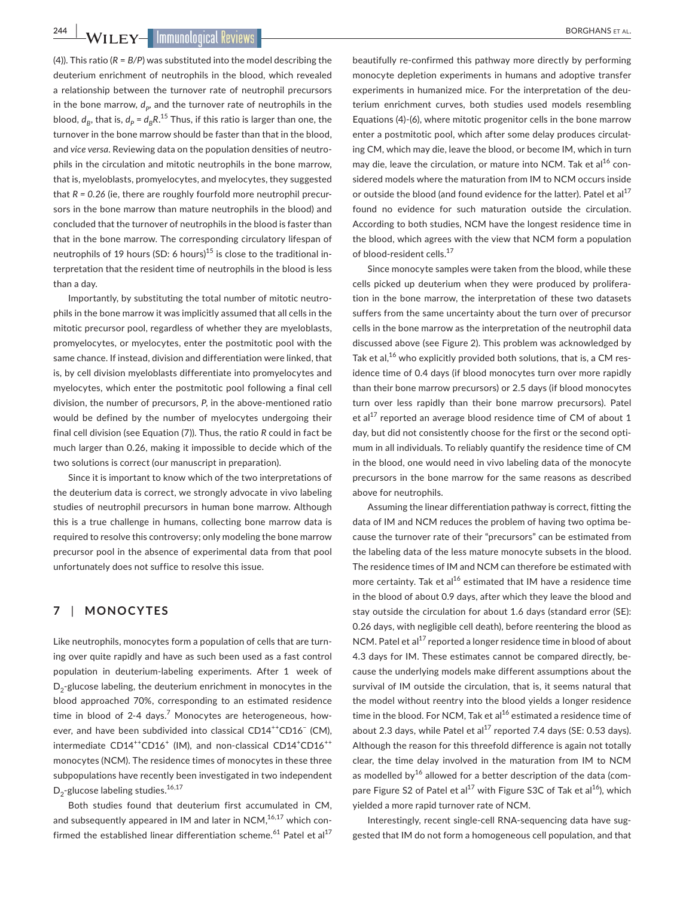**244 WILEY-IMMUNOLOGICAL REVIEWS** 

(4)). This ratio (*R* = *B/P*) was substituted into the model describing the deuterium enrichment of neutrophils in the blood, which revealed a relationship between the turnover rate of neutrophil precursors in the bone marrow,  $d_p$ , and the turnover rate of neutrophils in the blood,  $d_{B}$ , that is,  $d_{p} = d_{B}R^{15}$  Thus, if this ratio is larger than one, the turnover in the bone marrow should be faster than that in the blood, and *vice versa*. Reviewing data on the population densities of neutrophils in the circulation and mitotic neutrophils in the bone marrow, that is, myeloblasts, promyelocytes, and myelocytes, they suggested that *R = 0.26* (ie, there are roughly fourfold more neutrophil precursors in the bone marrow than mature neutrophils in the blood) and concluded that the turnover of neutrophils in the blood is faster than that in the bone marrow. The corresponding circulatory lifespan of neutrophils of 19 hours (SD: 6 hours)<sup>15</sup> is close to the traditional interpretation that the resident time of neutrophils in the blood is less than a day.

Importantly, by substituting the total number of mitotic neutrophils in the bone marrow it was implicitly assumed that all cells in the mitotic precursor pool, regardless of whether they are myeloblasts, promyelocytes, or myelocytes, enter the postmitotic pool with the same chance. If instead, division and differentiation were linked, that is, by cell division myeloblasts differentiate into promyelocytes and myelocytes, which enter the postmitotic pool following a final cell division, the number of precursors, *P*, in the above-mentioned ratio would be defined by the number of myelocytes undergoing their final cell division (see Equation (7)). Thus, the ratio *R* could in fact be much larger than 0.26, making it impossible to decide which of the two solutions is correct (our manuscript in preparation).

Since it is important to know which of the two interpretations of the deuterium data is correct, we strongly advocate in vivo labeling studies of neutrophil precursors in human bone marrow. Although this is a true challenge in humans, collecting bone marrow data is required to resolve this controversy; only modeling the bone marrow precursor pool in the absence of experimental data from that pool unfortunately does not suffice to resolve this issue.

# **7** | **MONOCYTES**

Like neutrophils, monocytes form a population of cells that are turning over quite rapidly and have as such been used as a fast control population in deuterium-labeling experiments. After 1 week of  $D<sub>2</sub>$ -glucose labeling, the deuterium enrichment in monocytes in the blood approached 70%, corresponding to an estimated residence time in blood of 2-4 days.<sup>7</sup> Monocytes are heterogeneous, however, and have been subdivided into classical CD14<sup>++</sup>CD16<sup>-</sup> (CM), intermediate CD14<sup>++</sup>CD16<sup>+</sup> (IM), and non-classical CD14<sup>+</sup>CD16<sup>++</sup> monocytes (NCM). The residence times of monocytes in these three subpopulations have recently been investigated in two independent  $D_2$ -glucose labeling studies.<sup>16,17</sup>

Both studies found that deuterium first accumulated in CM, and subsequently appeared in IM and later in NCM, $16,17$  which confirmed the established linear differentiation scheme.<sup>61</sup> Patel et al<sup>17</sup>

beautifully re-confirmed this pathway more directly by performing monocyte depletion experiments in humans and adoptive transfer experiments in humanized mice. For the interpretation of the deuterium enrichment curves, both studies used models resembling Equations (4)-(6), where mitotic progenitor cells in the bone marrow enter a postmitotic pool, which after some delay produces circulating CM, which may die, leave the blood, or become IM, which in turn may die, leave the circulation, or mature into NCM. Tak et al<sup>16</sup> considered models where the maturation from IM to NCM occurs inside or outside the blood (and found evidence for the latter). Patel et al $^{17}$ found no evidence for such maturation outside the circulation. According to both studies, NCM have the longest residence time in the blood, which agrees with the view that NCM form a population of blood-resident cells.<sup>17</sup>

Since monocyte samples were taken from the blood, while these cells picked up deuterium when they were produced by proliferation in the bone marrow, the interpretation of these two datasets suffers from the same uncertainty about the turn over of precursor cells in the bone marrow as the interpretation of the neutrophil data discussed above (see Figure 2). This problem was acknowledged by Tak et al,<sup>16</sup> who explicitly provided both solutions, that is, a CM residence time of 0.4 days (if blood monocytes turn over more rapidly than their bone marrow precursors) or 2.5 days (if blood monocytes turn over less rapidly than their bone marrow precursors). Patel et al $^{17}$  reported an average blood residence time of CM of about 1 day, but did not consistently choose for the first or the second optimum in all individuals. To reliably quantify the residence time of CM in the blood, one would need in vivo labeling data of the monocyte precursors in the bone marrow for the same reasons as described above for neutrophils.

Assuming the linear differentiation pathway is correct, fitting the data of IM and NCM reduces the problem of having two optima because the turnover rate of their "precursors" can be estimated from the labeling data of the less mature monocyte subsets in the blood. The residence times of IM and NCM can therefore be estimated with more certainty. Tak et al $^{16}$  estimated that IM have a residence time in the blood of about 0.9 days, after which they leave the blood and stay outside the circulation for about 1.6 days (standard error (SE): 0.26 days, with negligible cell death), before reentering the blood as NCM. Patel et al<sup>17</sup> reported a longer residence time in blood of about 4.3 days for IM. These estimates cannot be compared directly, because the underlying models make different assumptions about the survival of IM outside the circulation, that is, it seems natural that the model without reentry into the blood yields a longer residence time in the blood. For NCM, Tak et al<sup>16</sup> estimated a residence time of about 2.3 days, while Patel et al $^{17}$  reported 7.4 days (SE: 0.53 days). Although the reason for this threefold difference is again not totally clear, the time delay involved in the maturation from IM to NCM as modelled by $16$  allowed for a better description of the data (compare Figure S2 of Patel et al<sup>17</sup> with Figure S3C of Tak et al<sup>16</sup>), which yielded a more rapid turnover rate of NCM.

Interestingly, recent single-cell RNA-sequencing data have suggested that IM do not form a homogeneous cell population, and that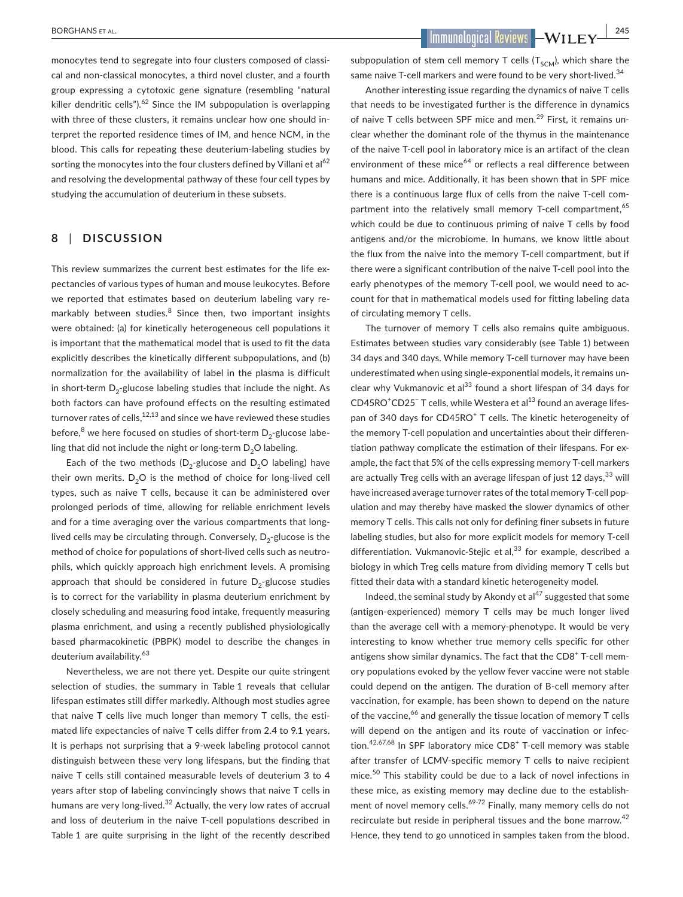monocytes tend to segregate into four clusters composed of classical and non-classical monocytes, a third novel cluster, and a fourth group expressing a cytotoxic gene signature (resembling "natural killer dendritic cells").<sup>62</sup> Since the IM subpopulation is overlapping with three of these clusters, it remains unclear how one should interpret the reported residence times of IM, and hence NCM, in the blood. This calls for repeating these deuterium-labeling studies by sorting the monocytes into the four clusters defined by Villani et al<sup>62</sup> and resolving the developmental pathway of these four cell types by studying the accumulation of deuterium in these subsets.

## **8** | **DISCUSSION**

This review summarizes the current best estimates for the life expectancies of various types of human and mouse leukocytes. Before we reported that estimates based on deuterium labeling vary remarkably between studies*.* 8 Since then, two important insights were obtained: (a) for kinetically heterogeneous cell populations it is important that the mathematical model that is used to fit the data explicitly describes the kinetically different subpopulations, and (b) normalization for the availability of label in the plasma is difficult in short-term  $D_2$ -glucose labeling studies that include the night. As both factors can have profound effects on the resulting estimated turnover rates of cells, $12,13$  and since we have reviewed these studies before, $^8$  we here focused on studies of short-term  $\mathsf{D}_2$ -glucose labeling that did not include the night or long-term  $D_2O$  labeling.

Each of the two methods ( $D_2$ -glucose and  $D_2O$  labeling) have their own merits.  $D_2O$  is the method of choice for long-lived cell types, such as naive T cells, because it can be administered over prolonged periods of time, allowing for reliable enrichment levels and for a time averaging over the various compartments that longlived cells may be circulating through. Conversely,  $D_{2}$ -glucose is the method of choice for populations of short-lived cells such as neutrophils, which quickly approach high enrichment levels. A promising approach that should be considered in future  $D_2$ -glucose studies is to correct for the variability in plasma deuterium enrichment by closely scheduling and measuring food intake, frequently measuring plasma enrichment, and using a recently published physiologically based pharmacokinetic (PBPK) model to describe the changes in deuterium availability.<sup>63</sup>

Nevertheless, we are not there yet. Despite our quite stringent selection of studies, the summary in Table 1 reveals that cellular lifespan estimates still differ markedly. Although most studies agree that naive T cells live much longer than memory T cells, the estimated life expectancies of naive T cells differ from 2.4 to 9.1 years. It is perhaps not surprising that a 9-week labeling protocol cannot distinguish between these very long lifespans, but the finding that naive T cells still contained measurable levels of deuterium 3 to 4 years after stop of labeling convincingly shows that naive T cells in humans are very long-lived.<sup>32</sup> Actually, the very low rates of accrual and loss of deuterium in the naive T-cell populations described in Table 1 are quite surprising in the light of the recently described

 **BORGHANS ET AL. 245** 

subpopulation of stem cell memory T cells  $(T<sub>SCM</sub>)$ , which share the same naive T-cell markers and were found to be very short-lived.<sup>34</sup>

Another interesting issue regarding the dynamics of naive T cells that needs to be investigated further is the difference in dynamics of naive T cells between SPF mice and men.<sup>29</sup> First, it remains unclear whether the dominant role of the thymus in the maintenance of the naive T-cell pool in laboratory mice is an artifact of the clean environment of these mice<sup>64</sup> or reflects a real difference between humans and mice. Additionally, it has been shown that in SPF mice there is a continuous large flux of cells from the naive T-cell compartment into the relatively small memory T-cell compartment.<sup>65</sup> which could be due to continuous priming of naive T cells by food antigens and/or the microbiome. In humans, we know little about the flux from the naive into the memory T-cell compartment, but if there were a significant contribution of the naive T-cell pool into the early phenotypes of the memory T-cell pool, we would need to account for that in mathematical models used for fitting labeling data of circulating memory T cells.

The turnover of memory T cells also remains quite ambiguous. Estimates between studies vary considerably (see Table 1) between 34 days and 340 days. While memory T-cell turnover may have been underestimated when using single-exponential models, it remains unclear why Vukmanovic et al $^{33}$  found a short lifespan of 34 days for CD45RO<sup>+</sup>CD25<sup>-</sup> T cells, while Westera et al<sup>13</sup> found an average lifespan of 340 days for CD45RO<sup>+</sup> T cells. The kinetic heterogeneity of the memory T-cell population and uncertainties about their differentiation pathway complicate the estimation of their lifespans. For example, the fact that 5% of the cells expressing memory T-cell markers are actually Treg cells with an average lifespan of just 12 days, 33 will have increased average turnover rates of the total memory T-cell population and may thereby have masked the slower dynamics of other memory T cells. This calls not only for defining finer subsets in future labeling studies, but also for more explicit models for memory T-cell differentiation. Vukmanovic-Stejic et al, $33$  for example, described a biology in which Treg cells mature from dividing memory T cells but fitted their data with a standard kinetic heterogeneity model.

Indeed, the seminal study by Akondy et al $47$  suggested that some (antigen-experienced) memory T cells may be much longer lived than the average cell with a memory-phenotype. It would be very interesting to know whether true memory cells specific for other antigens show similar dynamics. The fact that the CD8<sup>+</sup> T-cell memory populations evoked by the yellow fever vaccine were not stable could depend on the antigen. The duration of B-cell memory after vaccination, for example, has been shown to depend on the nature of the vaccine, <sup>66</sup> and generally the tissue location of memory T cells will depend on the antigen and its route of vaccination or infection.<sup>42,67,68</sup> In SPF laboratory mice CD8<sup>+</sup> T-cell memory was stable after transfer of LCMV-specific memory T cells to naive recipient mice.50 This stability could be due to a lack of novel infections in these mice, as existing memory may decline due to the establishment of novel memory cells.<sup>69-72</sup> Finally, many memory cells do not recirculate but reside in peripheral tissues and the bone marrow.<sup>42</sup> Hence, they tend to go unnoticed in samples taken from the blood.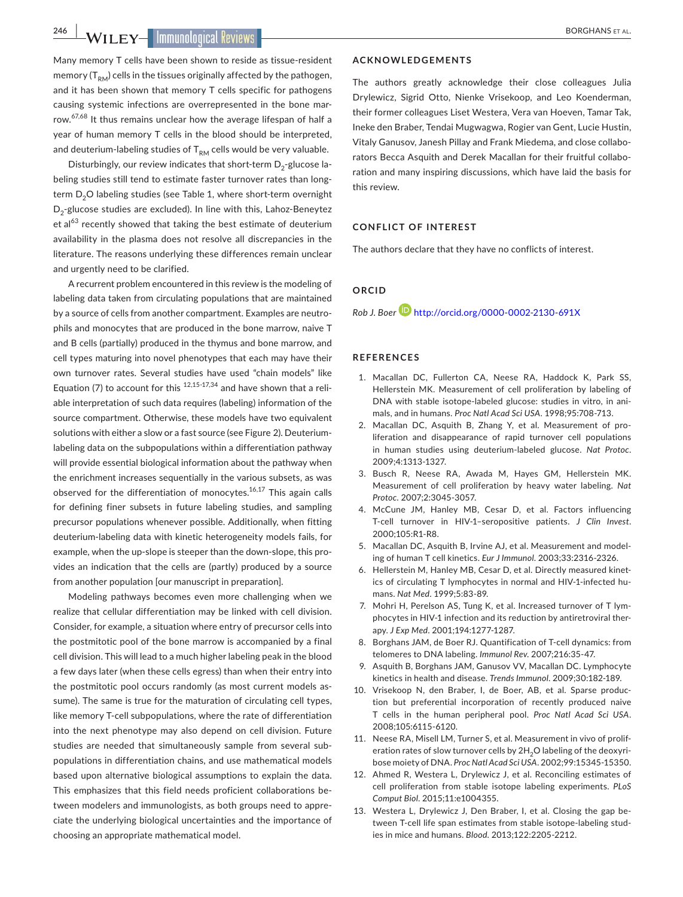**246 WILEY- Immunological Reviews** 

Many memory T cells have been shown to reside as tissue-resident memory  $(T_{RM})$  cells in the tissues originally affected by the pathogen, and it has been shown that memory T cells specific for pathogens causing systemic infections are overrepresented in the bone marrow.<sup>67,68</sup> It thus remains unclear how the average lifespan of half a year of human memory T cells in the blood should be interpreted, and deuterium-labeling studies of  $T<sub>RM</sub>$  cells would be very valuable.

Disturbingly, our review indicates that short-term  $D_2$ -glucose labeling studies still tend to estimate faster turnover rates than longterm D<sub>2</sub>O labeling studies (see Table 1, where short-term overnight D<sub>2</sub>-glucose studies are excluded). In line with this, Lahoz-Beneytez et al $^{63}$  recently showed that taking the best estimate of deuterium availability in the plasma does not resolve all discrepancies in the literature. The reasons underlying these differences remain unclear and urgently need to be clarified.

A recurrent problem encountered in this review is the modeling of labeling data taken from circulating populations that are maintained by a source of cells from another compartment. Examples are neutrophils and monocytes that are produced in the bone marrow, naive T and B cells (partially) produced in the thymus and bone marrow, and cell types maturing into novel phenotypes that each may have their own turnover rates. Several studies have used "chain models" like Equation (7) to account for this  $12,15-17,34$  and have shown that a reliable interpretation of such data requires (labeling) information of the source compartment. Otherwise, these models have two equivalent solutions with either a slow or a fast source (see Figure 2). Deuteriumlabeling data on the subpopulations within a differentiation pathway will provide essential biological information about the pathway when the enrichment increases sequentially in the various subsets, as was observed for the differentiation of monocytes. $16,17$  This again calls for defining finer subsets in future labeling studies, and sampling precursor populations whenever possible. Additionally, when fitting deuterium-labeling data with kinetic heterogeneity models fails, for example, when the up-slope is steeper than the down-slope, this provides an indication that the cells are (partly) produced by a source from another population [our manuscript in preparation].

Modeling pathways becomes even more challenging when we realize that cellular differentiation may be linked with cell division. Consider, for example, a situation where entry of precursor cells into the postmitotic pool of the bone marrow is accompanied by a final cell division. This will lead to a much higher labeling peak in the blood a few days later (when these cells egress) than when their entry into the postmitotic pool occurs randomly (as most current models assume). The same is true for the maturation of circulating cell types, like memory T-cell subpopulations, where the rate of differentiation into the next phenotype may also depend on cell division. Future studies are needed that simultaneously sample from several subpopulations in differentiation chains, and use mathematical models based upon alternative biological assumptions to explain the data. This emphasizes that this field needs proficient collaborations between modelers and immunologists, as both groups need to appreciate the underlying biological uncertainties and the importance of choosing an appropriate mathematical model.

#### **ACKNOWLEDGEMENTS**

The authors greatly acknowledge their close colleagues Julia Drylewicz, Sigrid Otto, Nienke Vrisekoop, and Leo Koenderman, their former colleagues Liset Westera, Vera van Hoeven, Tamar Tak, Ineke den Braber, Tendai Mugwagwa, Rogier van Gent, Lucie Hustin, Vitaly Ganusov, Janesh Pillay and Frank Miedema, and close collaborators Becca Asquith and Derek Macallan for their fruitful collaboration and many inspiring discussions, which have laid the basis for this review.

#### **CONFLICT OF INTEREST**

The authors declare that they have no conflicts of interest.

## **ORCID**

*Rob J. Boer* <http://orcid.org/0000-0002-2130-691X>

#### **REFERENCES**

- 1. Macallan DC, Fullerton CA, Neese RA, Haddock K, Park SS, Hellerstein MK. Measurement of cell proliferation by labeling of DNA with stable isotope-labeled glucose: studies in vitro, in animals, and in humans. *Proc Natl Acad Sci USA*. 1998;95:708-713.
- 2. Macallan DC, Asquith B, Zhang Y, et al. Measurement of proliferation and disappearance of rapid turnover cell populations in human studies using deuterium-labeled glucose. *Nat Protoc*. 2009;4:1313-1327.
- 3. Busch R, Neese RA, Awada M, Hayes GM, Hellerstein MK. Measurement of cell proliferation by heavy water labeling. *Nat Protoc*. 2007;2:3045-3057.
- 4. McCune JM, Hanley MB, Cesar D, et al. Factors influencing T-cell turnover in HIV-1–seropositive patients. *J Clin Invest*. 2000;105:R1-R8.
- 5. Macallan DC, Asquith B, Irvine AJ, et al. Measurement and modeling of human T cell kinetics. *Eur J Immunol*. 2003;33:2316-2326.
- 6. Hellerstein M, Hanley MB, Cesar D, et al. Directly measured kinetics of circulating T lymphocytes in normal and HIV-1-infected humans. *Nat Med*. 1999;5:83-89.
- 7. Mohri H, Perelson AS, Tung K, et al. Increased turnover of T lymphocytes in HIV-1 infection and its reduction by antiretroviral therapy. *J Exp Med*. 2001;194:1277-1287.
- 8. Borghans JAM, de Boer RJ. Quantification of T-cell dynamics: from telomeres to DNA labeling. *Immunol Rev*. 2007;216:35-47.
- 9. Asquith B, Borghans JAM, Ganusov VV, Macallan DC. Lymphocyte kinetics in health and disease. *Trends Immunol*. 2009;30:182-189.
- 10. Vrisekoop N, den Braber, I, de Boer, AB, et al. Sparse production but preferential incorporation of recently produced naive T cells in the human peripheral pool. *Proc Natl Acad Sci USA*. 2008;105:6115-6120.
- 11. Neese RA, Misell LM, Turner S, et al. Measurement in vivo of proliferation rates of slow turnover cells by 2H<sub>2</sub>O labeling of the deoxyribose moiety of DNA. *Proc Natl Acad Sci USA*. 2002;99:15345-15350.
- 12. Ahmed R, Westera L, Drylewicz J, et al. Reconciling estimates of cell proliferation from stable isotope labeling experiments. *PLoS Comput Biol*. 2015;11:e1004355.
- 13. Westera L, Drylewicz J, Den Braber, I, et al. Closing the gap between T-cell life span estimates from stable isotope-labeling studies in mice and humans. *Blood*. 2013;122:2205-2212.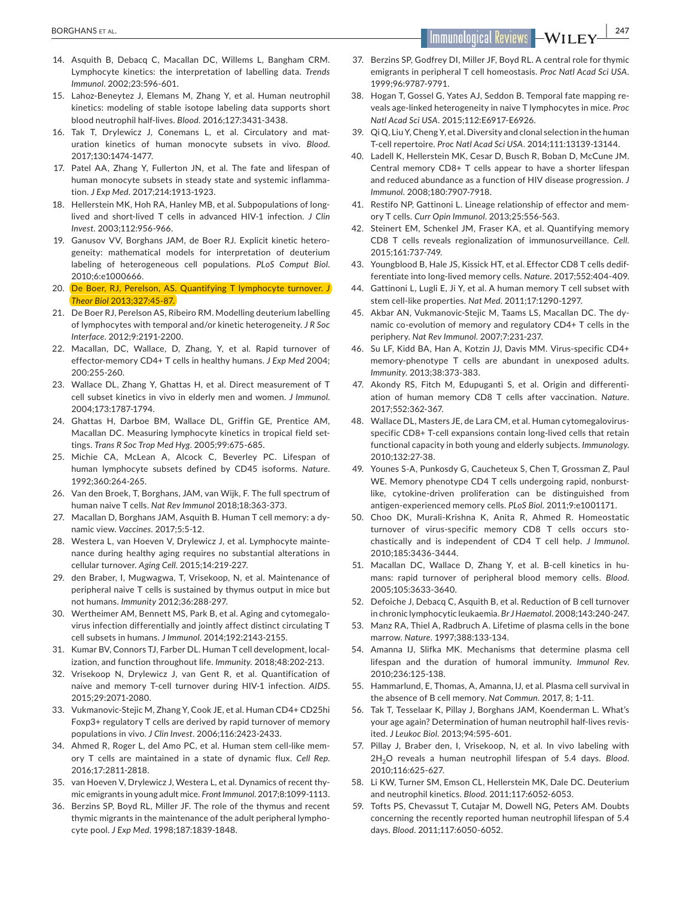- 14. Asquith B, Debacq C, Macallan DC, Willems L, Bangham CRM. Lymphocyte kinetics: the interpretation of labelling data. *Trends Immunol*. 2002;23:596-601.
- 15. Lahoz-Beneytez J, Elemans M, Zhang Y, et al. Human neutrophil kinetics: modeling of stable isotope labeling data supports short blood neutrophil half-lives. *Blood*. 2016;127:3431-3438.
- 16. Tak T, Drylewicz J, Conemans L, et al. Circulatory and maturation kinetics of human monocyte subsets in vivo. *Blood*. 2017;130:1474-1477.
- 17. Patel AA, Zhang Y, Fullerton JN, et al. The fate and lifespan of human monocyte subsets in steady state and systemic inflammation. *J Exp Med*. 2017;214:1913-1923.
- 18. Hellerstein MK, Hoh RA, Hanley MB, et al. Subpopulations of longlived and short-lived T cells in advanced HIV-1 infection. *J Clin Invest*. 2003;112:956-966.
- 19. Ganusov VV, Borghans JAM, de Boer RJ. Explicit kinetic heterogeneity: mathematical models for interpretation of deuterium labeling of heterogeneous cell populations. *PLoS Comput Biol*. 2010;6:e1000666.
- 20. De Boer, RJ, Perelson, AS. Quantifying T lymphocyte turnover. *J Theor Biol* 2013;327:45-87.
- 21. De Boer RJ, Perelson AS, Ribeiro RM. Modelling deuterium labelling of lymphocytes with temporal and/or kinetic heterogeneity. *J R Soc Interface*. 2012;9:2191-2200.
- 22. Macallan, DC, Wallace, D, Zhang, Y, et al. Rapid turnover of effector-memory CD4+ T cells in healthy humans. *J Exp Med* 2004; 200:255-260.
- 23. Wallace DL, Zhang Y, Ghattas H, et al. Direct measurement of T cell subset kinetics in vivo in elderly men and women. *J Immunol*. 2004;173:1787-1794.
- 24. Ghattas H, Darboe BM, Wallace DL, Griffin GE, Prentice AM, Macallan DC. Measuring lymphocyte kinetics in tropical field settings. *Trans R Soc Trop Med Hyg*. 2005;99:675-685.
- 25. Michie CA, McLean A, Alcock C, Beverley PC. Lifespan of human lymphocyte subsets defined by CD45 isoforms. *Nature*. 1992;360:264-265.
- 26. Van den Broek, T, Borghans, JAM, van Wijk, F. The full spectrum of human naive T cells. *Nat Rev Immunol* 2018;18:363-373.
- 27. Macallan D, Borghans JAM, Asquith B. Human T cell memory: a dynamic view. *Vaccines*. 2017;5:5-12.
- 28. Westera L, van Hoeven V, Drylewicz J, et al. Lymphocyte maintenance during healthy aging requires no substantial alterations in cellular turnover. *Aging Cell*. 2015;14:219-227.
- 29. den Braber, I, Mugwagwa, T, Vrisekoop, N, et al. Maintenance of peripheral naive T cells is sustained by thymus output in mice but not humans. *Immunity* 2012;36:288-297.
- 30. Wertheimer AM, Bennett MS, Park B, et al. Aging and cytomegalovirus infection differentially and jointly affect distinct circulating T cell subsets in humans. *J Immunol*. 2014;192:2143-2155.
- 31. Kumar BV, Connors TJ, Farber DL. Human T cell development, localization, and function throughout life. *Immunity*. 2018;48:202-213.
- 32. Vrisekoop N, Drylewicz J, van Gent R, et al. Quantification of naive and memory T-cell turnover during HIV-1 infection. *AIDS*. 2015;29:2071-2080.
- 33. Vukmanovic-Stejic M, Zhang Y, Cook JE, et al. Human CD4+ CD25hi Foxp3+ regulatory T cells are derived by rapid turnover of memory populations in vivo. *J Clin Invest*. 2006;116:2423-2433.
- 34. Ahmed R, Roger L, del Amo PC, et al. Human stem cell-like memory T cells are maintained in a state of dynamic flux. *Cell Rep*. 2016;17:2811-2818.
- 35. van Hoeven V, Drylewicz J, Westera L, et al. Dynamics of recent thymic emigrants in young adult mice. *Front Immunol*. 2017;8:1099-1113.
- 36. Berzins SP, Boyd RL, Miller JF. The role of the thymus and recent thymic migrants in the maintenance of the adult peripheral lymphocyte pool. *J Exp Med*. 1998;187:1839-1848.
- 37. Berzins SP, Godfrey DI, Miller JF, Boyd RL. A central role for thymic emigrants in peripheral T cell homeostasis. *Proc Natl Acad Sci USA*. 1999;96:9787-9791.
- 38. Hogan T, Gossel G, Yates AJ, Seddon B. Temporal fate mapping reveals age-linked heterogeneity in naive T lymphocytes in mice. *Proc Natl Acad Sci USA*. 2015;112:E6917-E6926.
- 39. Qi Q, Liu Y, Cheng Y, et al. Diversity and clonal selection in the human T-cell repertoire. *Proc Natl Acad Sci USA*. 2014;111:13139-13144.
- 40. Ladell K, Hellerstein MK, Cesar D, Busch R, Boban D, McCune JM. Central memory CD8+ T cells appear to have a shorter lifespan and reduced abundance as a function of HIV disease progression. *J Immunol*. 2008;180:7907-7918.
- 41. Restifo NP, Gattinoni L. Lineage relationship of effector and memory T cells. *Curr Opin Immunol*. 2013;25:556-563.
- 42. Steinert EM, Schenkel JM, Fraser KA, et al. Quantifying memory CD8 T cells reveals regionalization of immunosurveillance. *Cell*. 2015;161:737-749.
- 43. Youngblood B, Hale JS, Kissick HT, et al. Effector CD8 T cells dedifferentiate into long-lived memory cells. *Nature*. 2017;552:404-409.
- 44. Gattinoni L, Lugli E, Ji Y, et al. A human memory T cell subset with stem cell-like properties. *Nat Med*. 2011;17:1290-1297.
- 45. Akbar AN, Vukmanovic-Stejic M, Taams LS, Macallan DC. The dynamic co-evolution of memory and regulatory CD4+ T cells in the periphery. *Nat Rev Immunol*. 2007;7:231-237.
- 46. Su LF, Kidd BA, Han A, Kotzin JJ, Davis MM. Virus-specific CD4+ memory-phenotype T cells are abundant in unexposed adults. *Immunity*. 2013;38:373-383.
- 47. Akondy RS, Fitch M, Edupuganti S, et al. Origin and differentiation of human memory CD8 T cells after vaccination. *Nature*. 2017;552:362-367.
- 48. Wallace DL, Masters JE, de Lara CM, et al. Human cytomegalovirusspecific CD8+ T-cell expansions contain long-lived cells that retain functional capacity in both young and elderly subjects. *Immunology*. 2010;132:27-38.
- 49. Younes S-A, Punkosdy G, Caucheteux S, Chen T, Grossman Z, Paul WE. Memory phenotype CD4 T cells undergoing rapid, nonburstlike, cytokine-driven proliferation can be distinguished from antigen-experienced memory cells. *PLoS Biol*. 2011;9:e1001171.
- 50. Choo DK, Murali-Krishna K, Anita R, Ahmed R. Homeostatic turnover of virus-specific memory CD8 T cells occurs stochastically and is independent of CD4 T cell help. *J Immunol*. 2010;185:3436-3444.
- 51. Macallan DC, Wallace D, Zhang Y, et al. B-cell kinetics in humans: rapid turnover of peripheral blood memory cells. *Blood*. 2005;105:3633-3640.
- 52. Defoiche J, Debacq C, Asquith B, et al. Reduction of B cell turnover in chronic lymphocytic leukaemia. *Br J Haematol*. 2008;143:240-247.
- 53. Manz RA, Thiel A, Radbruch A. Lifetime of plasma cells in the bone marrow. *Nature*. 1997;388:133-134.
- 54. Amanna IJ, Slifka MK. Mechanisms that determine plasma cell lifespan and the duration of humoral immunity. *Immunol Rev*. 2010;236:125-138.
- 55. Hammarlund, E, Thomas, A, Amanna, IJ, et al. Plasma cell survival in the absence of B cell memory. *Nat Commun.* 2017, 8; 1-11.
- 56. Tak T, Tesselaar K, Pillay J, Borghans JAM, Koenderman L. What's your age again? Determination of human neutrophil half-lives revisited. *J Leukoc Biol*. 2013;94:595-601.
- 57. Pillay J, Braber den, I, Vrisekoop, N, et al. In vivo labeling with 2H<sub>2</sub>O reveals a human neutrophil lifespan of 5.4 days. Blood. 2010;116:625-627.
- 58. Li KW, Turner SM, Emson CL, Hellerstein MK, Dale DC. Deuterium and neutrophil kinetics. *Blood*. 2011;117:6052-6053.
- 59. Tofts PS, Chevassut T, Cutajar M, Dowell NG, Peters AM. Doubts concerning the recently reported human neutrophil lifespan of 5.4 days. *Blood*. 2011;117:6050-6052.